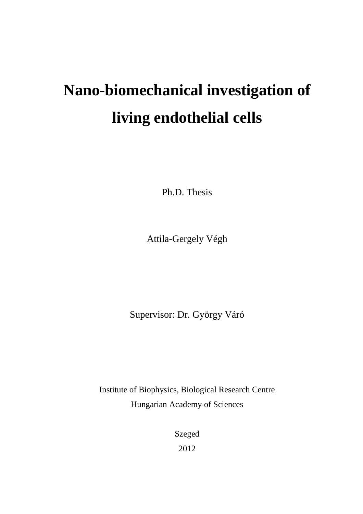# **Nano-biomechanical investigation of living endothelial cells**

Ph.D. Thesis

Attila-Gergely Végh

Supervisor: Dr. György Váró

Institute of Biophysics, Biological Research Centre Hungarian Academy of Sciences

> Szeged 2012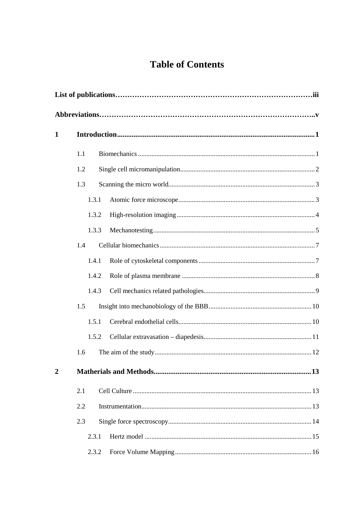# **Table of Contents**

| 1              |       |       |  |  |  |  |  |
|----------------|-------|-------|--|--|--|--|--|
|                | 1.1   |       |  |  |  |  |  |
|                | 1.2   |       |  |  |  |  |  |
|                | 1.3   |       |  |  |  |  |  |
|                |       | 1.3.1 |  |  |  |  |  |
|                |       | 1.3.2 |  |  |  |  |  |
|                |       | 1.3.3 |  |  |  |  |  |
|                | 1.4   |       |  |  |  |  |  |
|                |       | 1.4.1 |  |  |  |  |  |
|                |       | 1.4.2 |  |  |  |  |  |
|                |       | 1.4.3 |  |  |  |  |  |
|                | 1.5   |       |  |  |  |  |  |
|                |       | 1.5.1 |  |  |  |  |  |
|                |       | 1.5.2 |  |  |  |  |  |
|                | 1.6   |       |  |  |  |  |  |
| $\overline{2}$ |       |       |  |  |  |  |  |
|                | 2.1   |       |  |  |  |  |  |
|                | 2.2   |       |  |  |  |  |  |
|                | 2.3   |       |  |  |  |  |  |
|                | 2.3.1 |       |  |  |  |  |  |
|                |       | 2.3.2 |  |  |  |  |  |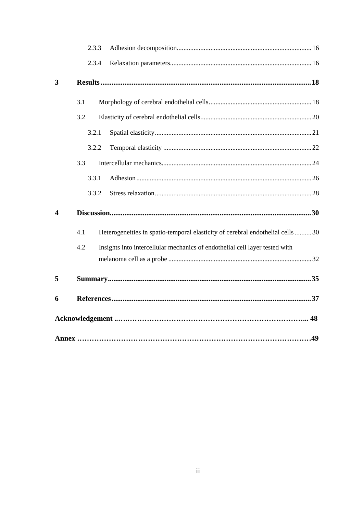|   |     | 2.3.3 |                                                                                 |  |  |  |
|---|-----|-------|---------------------------------------------------------------------------------|--|--|--|
|   |     | 2.3.4 |                                                                                 |  |  |  |
| 3 |     |       |                                                                                 |  |  |  |
|   | 3.1 |       |                                                                                 |  |  |  |
|   | 3.2 |       |                                                                                 |  |  |  |
|   |     | 3.2.1 |                                                                                 |  |  |  |
|   |     | 3.2.2 |                                                                                 |  |  |  |
|   | 3.3 |       |                                                                                 |  |  |  |
|   |     | 3.3.1 |                                                                                 |  |  |  |
|   |     | 3.3.2 |                                                                                 |  |  |  |
| 4 |     |       |                                                                                 |  |  |  |
|   | 4.1 |       | Heterogeneities in spatio-temporal elasticity of cerebral endothelial cells  30 |  |  |  |
|   | 4.2 |       | Insights into intercellular mechanics of endothelial cell layer tested with     |  |  |  |
|   |     |       |                                                                                 |  |  |  |
| 5 |     |       |                                                                                 |  |  |  |
| 6 |     |       |                                                                                 |  |  |  |
|   |     |       |                                                                                 |  |  |  |
|   |     |       |                                                                                 |  |  |  |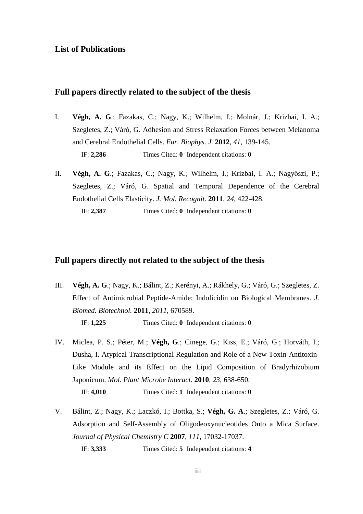## **List of Publications**

# **Full papers directly related to the subject of the thesis**

- I. **Végh, A. G**.; Fazakas, C.; Nagy, K.; Wilhelm, I.; Molnár, J.; Krizbai, I. A.; Szegletes, Z.; Váró, G. Adhesion and Stress Relaxation Forces between Melanoma and Cerebral Endothelial Cells. *Eur. Biophys. J.* **2012***, 41*, 139-145. IF: **2,286** Times Cited: **0** Independent citations: **0**
- II. **Végh, A. G**.; Fazakas, C.; Nagy, K.; Wilhelm, I.; Krizbai, I. A.; Nagyőszi, P.; Szegletes, Z.; Váró, G. Spatial and Temporal Dependence of the Cerebral Endothelial Cells Elasticity. *J. Mol. Recognit.* **2011***, 24*, 422-428. IF: **2,387** Times Cited: **0** Independent citations: **0**

#### **Full papers directly not related to the subject of the thesis**

- III. **Végh, A. G**.; Nagy, K.; Bálint, Z.; Kerényi, A.; Rákhely, G.; Váró, G.; Szegletes, Z. Effect of Antimicrobial Peptide-Amide: Indolicidin on Biological Membranes. *J. Biomed. Biotechnol.* **2011***, 2011*, 670589. IF: **1,225** Times Cited: **0** Independent citations: **0**
- IV. Miclea, P. S.; Péter, M.; **Végh, G**.; Cinege, G.; Kiss, E.; Váró, G.; Horváth, I.; Dusha, I. Atypical Transcriptional Regulation and Role of a New Toxin-Antitoxin-Like Module and its Effect on the Lipid Composition of Bradyrhizobium Japonicum. *Mol. Plant Microbe Interact.* **2010***, 23*, 638-650.

IF: **4,010** Times Cited: **1** Independent citations: **0**

V. Bálint, Z.; Nagy, K.; Laczkó, I.; Bottka, S.; **Végh, G. A**.; Szegletes, Z.; Váró, G. Adsorption and Self-Assembly of Oligodeoxynucleotides Onto a Mica Surface. *Journal of Physical Chemistry C* **2007***, 111*, 17032-17037. IF: **3,333** Times Cited: **5** Independent citations: **4**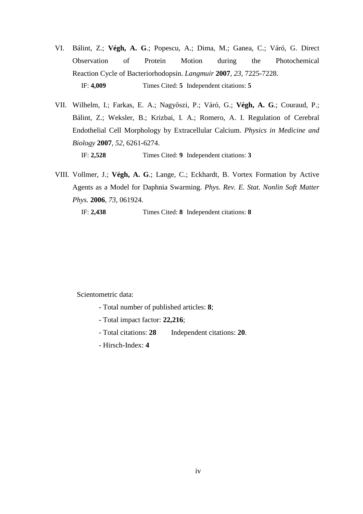- VI. Bálint, Z.; **Végh, A. G**.; Popescu, A.; Dima, M.; Ganea, C.; Váró, G. Direct Observation of Protein Motion during the Photochemical Reaction Cycle of Bacteriorhodopsin. *Langmuir* **2007***, 23*, 7225-7228. IF: **4,009** Times Cited: **5** Independent citations: **5**
- VII. Wilhelm, I.; Farkas, E. A.; Nagyőszi, P.; Váró, G.; **Végh, A. G**.; Couraud, P.; Bálint, Z.; Weksler, B.; Krizbai, I. A.; Romero, A. I. Regulation of Cerebral Endothelial Cell Morphology by Extracellular Calcium. *Physics in Medicine and Biology* **2007***, 52*, 6261-6274. IF: **2,528** Times Cited: **9** Independent citations: **3**
- VIII. Vollmer, J.; **Végh, A. G**.; Lange, C.; Eckhardt, B. Vortex Formation by Active Agents as a Model for Daphnia Swarming. *Phys. Rev. E. Stat. Nonlin Soft Matter Phys.* **2006***, 73*, 061924.

IF: **2,438** Times Cited: **8** Independent citations: **8** 

Scientometric data:

- Total number of published articles: **8**;
- Total impact factor: **22,216**;
- Total citations: **28** Independent citations: **20**.
- Hirsch-Index: **4**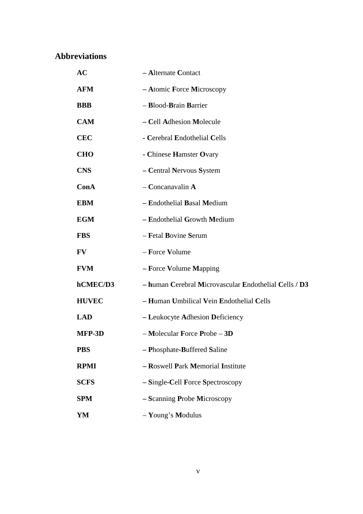# **Abbreviations**

| <b>AC</b>    | - Alternate Contact                                   |
|--------------|-------------------------------------------------------|
| <b>AFM</b>   | - Atomic Force Microscopy                             |
| <b>BBB</b>   | - Blood-Brain Barrier                                 |
| <b>CAM</b>   | - Cell Adhesion Molecule                              |
| <b>CEC</b>   | - Cerebral Endothelial Cells                          |
| <b>CHO</b>   | - Chinese Hamster Ovary                               |
| <b>CNS</b>   | - Central Nervous System                              |
| ConA         | $-$ Concanavalin A                                    |
| <b>EBM</b>   | - Endothelial Basal Medium                            |
| <b>EGM</b>   | - Endothelial Growth Medium                           |
| <b>FBS</b>   | - Fetal Bovine Serum                                  |
| FV           | - Force Volume                                        |
| <b>FVM</b>   | - Force Volume Mapping                                |
| hCMEC/D3     | - human Cerebral Microvascular Endothelial Cells / D3 |
| <b>HUVEC</b> | - Human Umbilical Vein Endothelial Cells              |
| <b>LAD</b>   | - Leukocyte Adhesion Deficiency                       |
| MFP-3D       | $-$ Molecular Force Probe $-3D$                       |
| <b>PBS</b>   | - Phosphate-Buffered Saline                           |
| <b>RPMI</b>  | - Roswell Park Memorial Institute                     |
| <b>SCFS</b>  | - Single-Cell Force Spectroscopy                      |
| <b>SPM</b>   | - Scanning Probe Microscopy                           |
| YM           | - Young's Modulus                                     |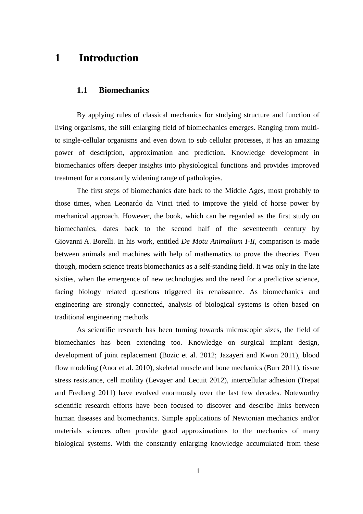# **1 Introduction**

## **1.1 Biomechanics**

By applying rules of classical mechanics for studying structure and function of living organisms, the still enlarging field of biomechanics emerges. Ranging from multito single-cellular organisms and even down to sub cellular processes, it has an amazing power of description, approximation and prediction. Knowledge development in biomechanics offers deeper insights into physiological functions and provides improved treatment for a constantly widening range of pathologies.

The first steps of biomechanics date back to the Middle Ages, most probably to those times, when Leonardo da Vinci tried to improve the yield of horse power by mechanical approach. However, the book, which can be regarded as the first study on biomechanics, dates back to the second half of the seventeenth century by Giovanni A. Borelli. In his work, entitled *De Motu Animalium I-II,* comparison is made between animals and machines with help of mathematics to prove the theories. Even though, modern science treats biomechanics as a self-standing field. It was only in the late sixties, when the emergence of new technologies and the need for a predictive science, facing biology related questions triggered its renaissance. As biomechanics and engineering are strongly connected, analysis of biological systems is often based on traditional engineering methods.

As scientific research has been turning towards microscopic sizes, the field of biomechanics has been extending too. Knowledge on surgical implant design, development of joint replacement (Bozic et al. 2012; Jazayeri and Kwon 2011), blood flow modeling (Anor et al. 2010), skeletal muscle and bone mechanics (Burr 2011), tissue stress resistance, cell motility (Levayer and Lecuit 2012), intercellular adhesion (Trepat and Fredberg 2011) have evolved enormously over the last few decades. Noteworthy scientific research efforts have been focused to discover and describe links between human diseases and biomechanics. Simple applications of Newtonian mechanics and/or materials sciences often provide good approximations to the mechanics of many biological systems. With the constantly enlarging knowledge accumulated from these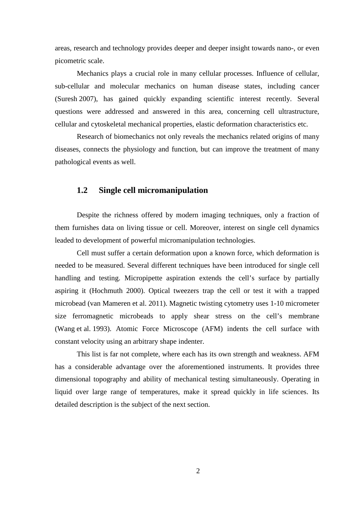areas, research and technology provides deeper and deeper insight towards nano-, or even picometric scale.

Mechanics plays a crucial role in many cellular processes. Influence of cellular, sub-cellular and molecular mechanics on human disease states, including cancer (Suresh 2007), has gained quickly expanding scientific interest recently. Several questions were addressed and answered in this area, concerning cell ultrastructure, cellular and cytoskeletal mechanical properties, elastic deformation characteristics etc.

Research of biomechanics not only reveals the mechanics related origins of many diseases, connects the physiology and function, but can improve the treatment of many pathological events as well.

# **1.2 Single cell micromanipulation**

Despite the richness offered by modern imaging techniques, only a fraction of them furnishes data on living tissue or cell. Moreover, interest on single cell dynamics leaded to development of powerful micromanipulation technologies.

Cell must suffer a certain deformation upon a known force, which deformation is needed to be measured. Several different techniques have been introduced for single cell handling and testing. Micropipette aspiration extends the cell's surface by partially aspiring it (Hochmuth 2000). Optical tweezers trap the cell or test it with a trapped microbead (van Mameren et al. 2011). Magnetic twisting cytometry uses 1-10 micrometer size ferromagnetic microbeads to apply shear stress on the cell's membrane (Wang et al. 1993). Atomic Force Microscope (AFM) indents the cell surface with constant velocity using an arbitrary shape indenter.

This list is far not complete, where each has its own strength and weakness. AFM has a considerable advantage over the aforementioned instruments. It provides three dimensional topography and ability of mechanical testing simultaneously. Operating in liquid over large range of temperatures, make it spread quickly in life sciences. Its detailed description is the subject of the next section.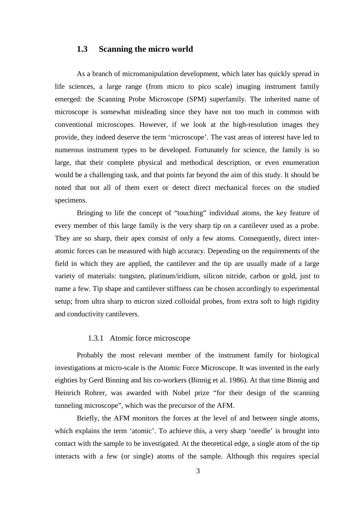## **1.3 Scanning the micro world**

As a branch of micromanipulation development, which later has quickly spread in life sciences, a large range (from micro to pico scale) imaging instrument family emerged: the Scanning Probe Microscope (SPM) superfamily. The inherited name of microscope is somewhat misleading since they have not too much in common with conventional microscopes. However, if we look at the high-resolution images they provide, they indeed deserve the term 'microscope'. The vast areas of interest have led to numerous instrument types to be developed. Fortunately for science, the family is so large, that their complete physical and methodical description, or even enumeration would be a challenging task, and that points far beyond the aim of this study. It should be noted that not all of them exert or detect direct mechanical forces on the studied specimens.

Bringing to life the concept of "touching" individual atoms, the key feature of every member of this large family is the very sharp tip on a cantilever used as a probe. They are so sharp, their apex consist of only a few atoms. Consequently, direct interatomic forces can be measured with high accuracy. Depending on the requirements of the field in which they are applied, the cantilever and the tip are usually made of a large variety of materials: tungsten, platinum/iridium, silicon nitride, carbon or gold, just to name a few. Tip shape and cantilever stiffness can be chosen accordingly to experimental setup; from ultra sharp to micron sized colloidal probes, from extra soft to high rigidity and conductivity cantilevers.

#### 1.3.1 Atomic force microscope

Probably the most relevant member of the instrument family for biological investigations at micro-scale is the Atomic Force Microscope. It was invented in the early eighties by Gerd Binning and his co-workers (Binnig et al. 1986). At that time Binnig and Heinrich Rohrer, was awarded with Nobel prize "for their design of the scanning tunneling microscope", which was the precursor of the AFM.

Briefly, the AFM monitors the forces at the level of and between single atoms, which explains the term 'atomic'. To achieve this, a very sharp 'needle' is brought into contact with the sample to be investigated. At the theoretical edge, a single atom of the tip interacts with a few (or single) atoms of the sample. Although this requires special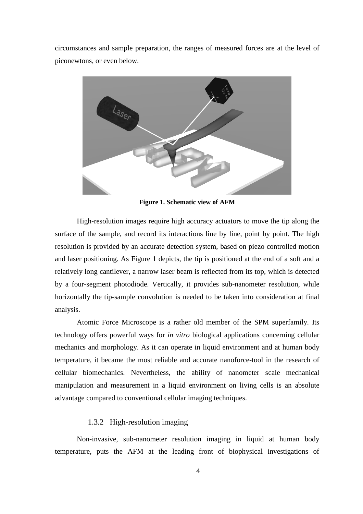circumstances and sample preparation, the ranges of measured forces are at the level of piconewtons, or even below.



**Figure 1. Schematic view of AFM** 

High-resolution images require high accuracy actuators to move the tip along the surface of the sample, and record its interactions line by line, point by point. The high resolution is provided by an accurate detection system, based on piezo controlled motion and laser positioning. As Figure 1 depicts, the tip is positioned at the end of a soft and a relatively long cantilever, a narrow laser beam is reflected from its top, which is detected by a four-segment photodiode. Vertically, it provides sub-nanometer resolution, while horizontally the tip-sample convolution is needed to be taken into consideration at final analysis.

Atomic Force Microscope is a rather old member of the SPM superfamily. Its technology offers powerful ways for *in vitro* biological applications concerning cellular mechanics and morphology. As it can operate in liquid environment and at human body temperature, it became the most reliable and accurate nanoforce-tool in the research of cellular biomechanics. Nevertheless, the ability of nanometer scale mechanical manipulation and measurement in a liquid environment on living cells is an absolute advantage compared to conventional cellular imaging techniques.

## 1.3.2 High-resolution imaging

Non-invasive, sub-nanometer resolution imaging in liquid at human body temperature, puts the AFM at the leading front of biophysical investigations of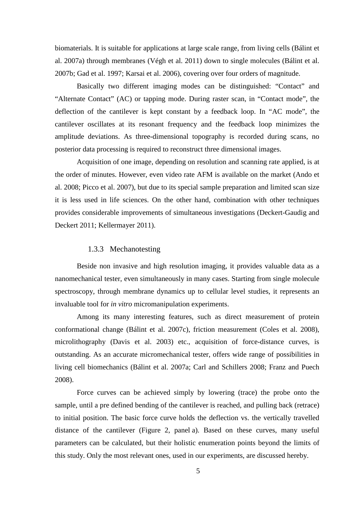biomaterials. It is suitable for applications at large scale range, from living cells (Bálint et al. 2007a) through membranes (Végh et al. 2011) down to single molecules (Bálint et al. 2007b; Gad et al. 1997; Karsai et al. 2006), covering over four orders of magnitude.

Basically two different imaging modes can be distinguished: "Contact" and "Alternate Contact" (AC) or tapping mode. During raster scan, in "Contact mode", the deflection of the cantilever is kept constant by a feedback loop. In "AC mode", the cantilever oscillates at its resonant frequency and the feedback loop minimizes the amplitude deviations. As three-dimensional topography is recorded during scans, no posterior data processing is required to reconstruct three dimensional images.

Acquisition of one image, depending on resolution and scanning rate applied, is at the order of minutes. However, even video rate AFM is available on the market (Ando et al. 2008; Picco et al. 2007), but due to its special sample preparation and limited scan size it is less used in life sciences. On the other hand, combination with other techniques provides considerable improvements of simultaneous investigations (Deckert-Gaudig and Deckert 2011; Kellermayer 2011).

#### 1.3.3 Mechanotesting

Beside non invasive and high resolution imaging, it provides valuable data as a nanomechanical tester, even simultaneously in many cases. Starting from single molecule spectroscopy, through membrane dynamics up to cellular level studies, it represents an invaluable tool for *in vitro* micromanipulation experiments.

Among its many interesting features, such as direct measurement of protein conformational change (Bálint et al. 2007c), friction measurement (Coles et al. 2008), microlithography (Davis et al. 2003) etc., acquisition of force-distance curves, is outstanding. As an accurate micromechanical tester, offers wide range of possibilities in living cell biomechanics (Bálint et al. 2007a; Carl and Schillers 2008; Franz and Puech 2008).

Force curves can be achieved simply by lowering (trace) the probe onto the sample, until a pre defined bending of the cantilever is reached, and pulling back (retrace) to initial position. The basic force curve holds the deflection vs. the vertically travelled distance of the cantilever (Figure 2, panel a). Based on these curves, many useful parameters can be calculated, but their holistic enumeration points beyond the limits of this study. Only the most relevant ones, used in our experiments, are discussed hereby.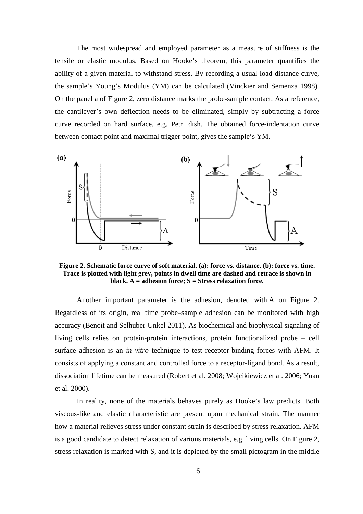The most widespread and employed parameter as a measure of stiffness is the tensile or elastic modulus. Based on Hooke's theorem, this parameter quantifies the ability of a given material to withstand stress. By recording a usual load-distance curve, the sample's Young's Modulus (YM) can be calculated (Vinckier and Semenza 1998). On the panel a of Figure 2, zero distance marks the probe-sample contact. As a reference, the cantilever's own deflection needs to be eliminated, simply by subtracting a force curve recorded on hard surface, e.g. Petri dish. The obtained force-indentation curve between contact point and maximal trigger point, gives the sample's YM.



**Figure 2. Schematic force curve of soft material. (a): force vs. distance. (b): force vs. time. Trace is plotted with light grey, points in dwell time are dashed and retrace is shown in black. A = adhesion force; S = Stress relaxation force.** 

Another important parameter is the adhesion, denoted with A on Figure 2. Regardless of its origin, real time probe–sample adhesion can be monitored with high accuracy (Benoit and Selhuber-Unkel 2011). As biochemical and biophysical signaling of living cells relies on protein-protein interactions, protein functionalized probe – cell surface adhesion is an *in vitro* technique to test receptor-binding forces with AFM. It consists of applying a constant and controlled force to a receptor-ligand bond. As a result, dissociation lifetime can be measured (Robert et al. 2008; Wojcikiewicz et al. 2006; Yuan et al. 2000).

In reality, none of the materials behaves purely as Hooke's law predicts. Both viscous-like and elastic characteristic are present upon mechanical strain. The manner how a material relieves stress under constant strain is described by stress relaxation. AFM is a good candidate to detect relaxation of various materials, e.g. living cells. On Figure 2, stress relaxation is marked with S, and it is depicted by the small pictogram in the middle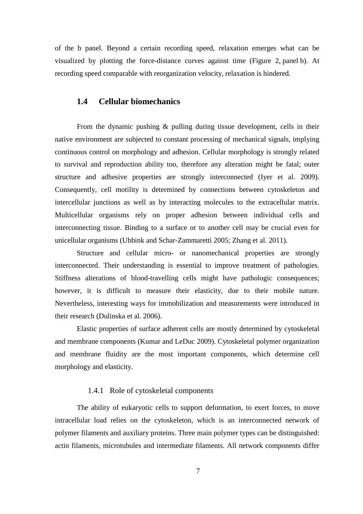of the b panel. Beyond a certain recording speed, relaxation emerges what can be visualized by plotting the force-distance curves against time (Figure 2, panel b). At recording speed comparable with reorganization velocity, relaxation is hindered.

#### **1.4 Cellular biomechanics**

From the dynamic pushing & pulling during tissue development, cells in their native environment are subjected to constant processing of mechanical signals, implying continuous control on morphology and adhesion. Cellular morphology is strongly related to survival and reproduction ability too, therefore any alteration might be fatal; outer structure and adhesive properties are strongly interconnected (Iyer et al. 2009). Consequently, cell motility is determined by connections between cytoskeleton and intercellular junctions as well as by interacting molecules to the extracellular matrix. Multicellular organisms rely on proper adhesion between individual cells and interconnecting tissue. Binding to a surface or to another cell may be crucial even for unicellular organisms (Ubbink and Schar-Zammaretti 2005; Zhang et al. 2011).

Structure and cellular micro- or nanomechanical properties are strongly interconnected. Their understanding is essential to improve treatment of pathologies. Stiffness alterations of blood-travelling cells might have pathologic consequences; however, it is difficult to measure their elasticity, due to their mobile nature. Nevertheless, interesting ways for immobilization and measurements were introduced in their research (Dulinska et al. 2006).

Elastic properties of surface adherent cells are mostly determined by cytoskeletal and membrane components (Kumar and LeDuc 2009). Cytoskeletal polymer organization and membrane fluidity are the most important components, which determine cell morphology and elasticity.

## 1.4.1 Role of cytoskeletal components

The ability of eukaryotic cells to support deformation, to exert forces, to move intracellular load relies on the cytoskeleton, which is an interconnected network of polymer filaments and auxiliary proteins. Three main polymer types can be distinguished: actin filaments, microtubules and intermediate filaments. All network components differ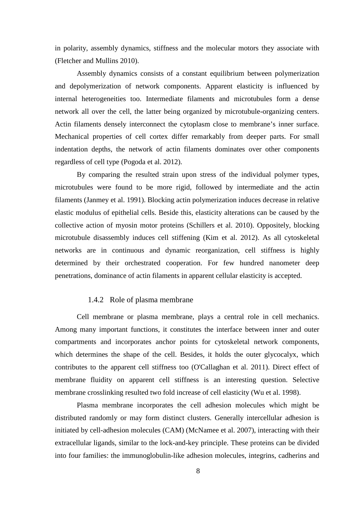in polarity, assembly dynamics, stiffness and the molecular motors they associate with (Fletcher and Mullins 2010).

Assembly dynamics consists of a constant equilibrium between polymerization and depolymerization of network components. Apparent elasticity is influenced by internal heterogeneities too. Intermediate filaments and microtubules form a dense network all over the cell, the latter being organized by microtubule-organizing centers. Actin filaments densely interconnect the cytoplasm close to membrane's inner surface. Mechanical properties of cell cortex differ remarkably from deeper parts. For small indentation depths, the network of actin filaments dominates over other components regardless of cell type (Pogoda et al. 2012).

By comparing the resulted strain upon stress of the individual polymer types, microtubules were found to be more rigid, followed by intermediate and the actin filaments (Janmey et al. 1991). Blocking actin polymerization induces decrease in relative elastic modulus of epithelial cells. Beside this, elasticity alterations can be caused by the collective action of myosin motor proteins (Schillers et al. 2010). Oppositely, blocking microtubule disassembly induces cell stiffening (Kim et al. 2012). As all cytoskeletal networks are in continuous and dynamic reorganization, cell stiffness is highly determined by their orchestrated cooperation. For few hundred nanometer deep penetrations, dominance of actin filaments in apparent cellular elasticity is accepted.

#### 1.4.2 Role of plasma membrane

Cell membrane or plasma membrane, plays a central role in cell mechanics. Among many important functions, it constitutes the interface between inner and outer compartments and incorporates anchor points for cytoskeletal network components, which determines the shape of the cell. Besides, it holds the outer glycocalyx, which contributes to the apparent cell stiffness too (O'Callaghan et al. 2011). Direct effect of membrane fluidity on apparent cell stiffness is an interesting question. Selective membrane crosslinking resulted two fold increase of cell elasticity (Wu et al. 1998).

Plasma membrane incorporates the cell adhesion molecules which might be distributed randomly or may form distinct clusters. Generally intercellular adhesion is initiated by cell-adhesion molecules (CAM) (McNamee et al. 2007), interacting with their extracellular ligands, similar to the lock-and-key principle. These proteins can be divided into four families: the immunoglobulin-like adhesion molecules, integrins, cadherins and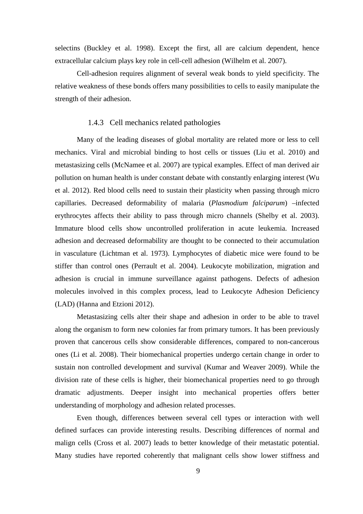selectins (Buckley et al. 1998). Except the first, all are calcium dependent, hence extracellular calcium plays key role in cell-cell adhesion (Wilhelm et al. 2007).

Cell-adhesion requires alignment of several weak bonds to yield specificity. The relative weakness of these bonds offers many possibilities to cells to easily manipulate the strength of their adhesion.

#### 1.4.3 Cell mechanics related pathologies

Many of the leading diseases of global mortality are related more or less to cell mechanics. Viral and microbial binding to host cells or tissues (Liu et al. 2010) and metastasizing cells (McNamee et al. 2007) are typical examples. Effect of man derived air pollution on human health is under constant debate with constantly enlarging interest (Wu et al. 2012). Red blood cells need to sustain their plasticity when passing through micro capillaries. Decreased deformability of malaria (*Plasmodium falciparum*) –infected erythrocytes affects their ability to pass through micro channels (Shelby et al. 2003). Immature blood cells show uncontrolled proliferation in acute leukemia. Increased adhesion and decreased deformability are thought to be connected to their accumulation in vasculature (Lichtman et al. 1973). Lymphocytes of diabetic mice were found to be stiffer than control ones (Perrault et al. 2004). Leukocyte mobilization, migration and adhesion is crucial in immune surveillance against pathogens. Defects of adhesion molecules involved in this complex process, lead to Leukocyte Adhesion Deficiency (LAD) (Hanna and Etzioni 2012).

Metastasizing cells alter their shape and adhesion in order to be able to travel along the organism to form new colonies far from primary tumors. It has been previously proven that cancerous cells show considerable differences, compared to non-cancerous ones (Li et al. 2008). Their biomechanical properties undergo certain change in order to sustain non controlled development and survival (Kumar and Weaver 2009). While the division rate of these cells is higher, their biomechanical properties need to go through dramatic adjustments. Deeper insight into mechanical properties offers better understanding of morphology and adhesion related processes.

Even though, differences between several cell types or interaction with well defined surfaces can provide interesting results. Describing differences of normal and malign cells (Cross et al. 2007) leads to better knowledge of their metastatic potential. Many studies have reported coherently that malignant cells show lower stiffness and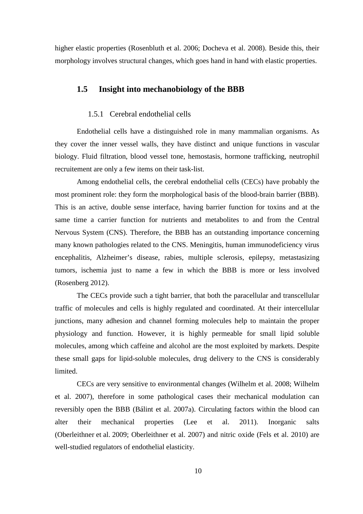higher elastic properties (Rosenbluth et al. 2006; Docheva et al. 2008). Beside this, their morphology involves structural changes, which goes hand in hand with elastic properties.

# **1.5 Insight into mechanobiology of the BBB**

#### 1.5.1 Cerebral endothelial cells

Endothelial cells have a distinguished role in many mammalian organisms. As they cover the inner vessel walls, they have distinct and unique functions in vascular biology. Fluid filtration, blood vessel tone, hemostasis, hormone trafficking, neutrophil recruitement are only a few items on their task-list.

Among endothelial cells, the cerebral endothelial cells (CECs) have probably the most prominent role: they form the morphological basis of the blood-brain barrier (BBB). This is an active, double sense interface, having barrier function for toxins and at the same time a carrier function for nutrients and metabolites to and from the Central Nervous System (CNS). Therefore, the BBB has an outstanding importance concerning many known pathologies related to the CNS. Meningitis, human immunodeficiency virus encephalitis, Alzheimer's disease, rabies, multiple sclerosis, epilepsy, metastasizing tumors, ischemia just to name a few in which the BBB is more or less involved (Rosenberg 2012).

The CECs provide such a tight barrier, that both the paracellular and transcellular traffic of molecules and cells is highly regulated and coordinated. At their intercellular junctions, many adhesion and channel forming molecules help to maintain the proper physiology and function. However, it is highly permeable for small lipid soluble molecules, among which caffeine and alcohol are the most exploited by markets. Despite these small gaps for lipid-soluble molecules, drug delivery to the CNS is considerably limited.

CECs are very sensitive to environmental changes (Wilhelm et al. 2008; Wilhelm et al. 2007), therefore in some pathological cases their mechanical modulation can reversibly open the BBB (Bálint et al. 2007a). Circulating factors within the blood can alter their mechanical properties (Lee et al. 2011). Inorganic salts (Oberleithner et al. 2009; Oberleithner et al. 2007) and nitric oxide (Fels et al. 2010) are well-studied regulators of endothelial elasticity.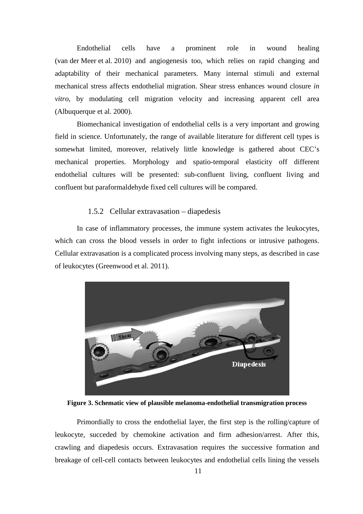Endothelial cells have a prominent role in wound healing (van der Meer et al. 2010) and angiogenesis too, which relies on rapid changing and adaptability of their mechanical parameters. Many internal stimuli and external mechanical stress affects endothelial migration. Shear stress enhances wound closure *in vitro*, by modulating cell migration velocity and increasing apparent cell area (Albuquerque et al. 2000).

Biomechanical investigation of endothelial cells is a very important and growing field in science. Unfortunately, the range of available literature for different cell types is somewhat limited, moreover, relatively little knowledge is gathered about CEC's mechanical properties. Morphology and spatio-temporal elasticity off different endothelial cultures will be presented: sub-confluent living, confluent living and confluent but paraformaldehyde fixed cell cultures will be compared.

#### 1.5.2 Cellular extravasation – diapedesis

In case of inflammatory processes, the immune system activates the leukocytes, which can cross the blood vessels in order to fight infections or intrusive pathogens. Cellular extravasation is a complicated process involving many steps, as described in case of leukocytes (Greenwood et al. 2011).



**Figure 3. Schematic view of plausible melanoma-endothelial transmigration process** 

Primordially to cross the endothelial layer, the first step is the rolling/capture of leukocyte, succeded by chemokine activation and firm adhesion/arrest. After this, crawling and diapedesis occurs. Extravasation requires the successive formation and breakage of cell-cell contacts between leukocytes and endothelial cells lining the vessels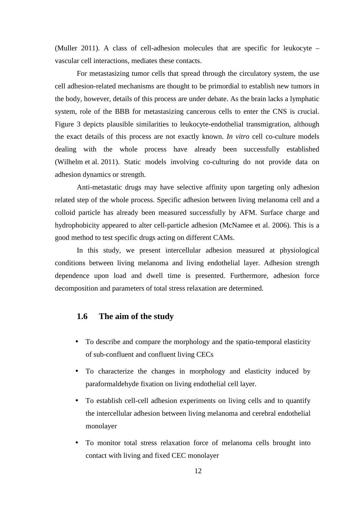(Muller 2011). A class of cell-adhesion molecules that are specific for leukocyte – vascular cell interactions, mediates these contacts.

For metastasizing tumor cells that spread through the circulatory system, the use cell adhesion-related mechanisms are thought to be primordial to establish new tumors in the body, however, details of this process are under debate. As the brain lacks a lymphatic system, role of the BBB for metastasizing cancerous cells to enter the CNS is crucial. Figure 3 depicts plausible similarities to leukocyte-endothelial transmigration, although the exact details of this process are not exactly known. *In vitro* cell co-culture models dealing with the whole process have already been successfully established (Wilhelm et al. 2011). Static models involving co-culturing do not provide data on adhesion dynamics or strength.

Anti-metastatic drugs may have selective affinity upon targeting only adhesion related step of the whole process. Specific adhesion between living melanoma cell and a colloid particle has already been measured successfully by AFM. Surface charge and hydrophobicity appeared to alter cell-particle adhesion (McNamee et al. 2006). This is a good method to test specific drugs acting on different CAMs.

In this study, we present intercellular adhesion measured at physiological conditions between living melanoma and living endothelial layer. Adhesion strength dependence upon load and dwell time is presented. Furthermore, adhesion force decomposition and parameters of total stress relaxation are determined.

#### **1.6 The aim of the study**

- To describe and compare the morphology and the spatio-temporal elasticity of sub-confluent and confluent living CECs
- To characterize the changes in morphology and elasticity induced by paraformaldehyde fixation on living endothelial cell layer.
- To establish cell-cell adhesion experiments on living cells and to quantify the intercellular adhesion between living melanoma and cerebral endothelial monolayer
- To monitor total stress relaxation force of melanoma cells brought into contact with living and fixed CEC monolayer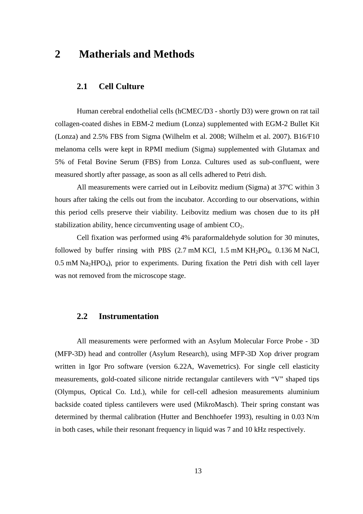# **2 Matherials and Methods**

# **2.1 Cell Culture**

Human cerebral endothelial cells (hCMEC/D3 - shortly D3) were grown on rat tail collagen-coated dishes in EBM-2 medium (Lonza) supplemented with EGM-2 Bullet Kit (Lonza) and 2.5% FBS from Sigma (Wilhelm et al. 2008; Wilhelm et al. 2007). B16/F10 melanoma cells were kept in RPMI medium (Sigma) supplemented with Glutamax and 5% of Fetal Bovine Serum (FBS) from Lonza. Cultures used as sub-confluent, were measured shortly after passage, as soon as all cells adhered to Petri dish.

All measurements were carried out in Leibovitz medium (Sigma) at 37ºC within 3 hours after taking the cells out from the incubator. According to our observations, within this period cells preserve their viability. Leibovitz medium was chosen due to its pH stabilization ability, hence circumventing usage of ambient  $CO<sub>2</sub>$ .

Cell fixation was performed using 4% paraformaldehyde solution for 30 minutes, followed by buffer rinsing with PBS  $(2.7 \text{ mM KCl}, 1.5 \text{ mM KH}_2PO_4, 0.136 \text{ M NaCl},$  $0.5$  mM Na<sub>2</sub>HPO<sub>4</sub>), prior to experiments. During fixation the Petri dish with cell layer was not removed from the microscope stage.

## **2.2 Instrumentation**

All measurements were performed with an Asylum Molecular Force Probe - 3D (MFP-3D) head and controller (Asylum Research), using MFP-3D Xop driver program written in Igor Pro software (version 6.22A, Wavemetrics). For single cell elasticity measurements, gold-coated silicone nitride rectangular cantilevers with "V" shaped tips (Olympus, Optical Co. Ltd.), while for cell-cell adhesion measurements aluminium backside coated tipless cantilevers were used (MikroMasch). Their spring constant was determined by thermal calibration (Hutter and Benchhoefer 1993), resulting in 0.03 N/m in both cases, while their resonant frequency in liquid was 7 and 10 kHz respectively.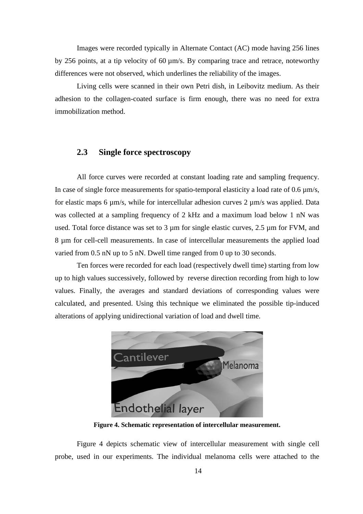Images were recorded typically in Alternate Contact (AC) mode having 256 lines by 256 points, at a tip velocity of 60 µm/s. By comparing trace and retrace, noteworthy differences were not observed, which underlines the reliability of the images.

Living cells were scanned in their own Petri dish, in Leibovitz medium. As their adhesion to the collagen-coated surface is firm enough, there was no need for extra immobilization method.

# **2.3 Single force spectroscopy**

All force curves were recorded at constant loading rate and sampling frequency. In case of single force measurements for spatio-temporal elasticity a load rate of  $0.6 \mu m/s$ , for elastic maps 6  $\mu$ m/s, while for intercellular adhesion curves 2  $\mu$ m/s was applied. Data was collected at a sampling frequency of 2 kHz and a maximum load below 1 nN was used. Total force distance was set to 3  $\mu$ m for single elastic curves, 2.5  $\mu$ m for FVM, and 8 µm for cell-cell measurements. In case of intercellular measurements the applied load varied from 0.5 nN up to 5 nN. Dwell time ranged from 0 up to 30 seconds.

Ten forces were recorded for each load (respectively dwell time) starting from low up to high values successively, followed by reverse direction recording from high to low values. Finally, the averages and standard deviations of corresponding values were calculated, and presented. Using this technique we eliminated the possible tip-induced alterations of applying unidirectional variation of load and dwell time.



**Figure 4. Schematic representation of intercellular measurement.** 

Figure 4 depicts schematic view of intercellular measurement with single cell probe, used in our experiments. The individual melanoma cells were attached to the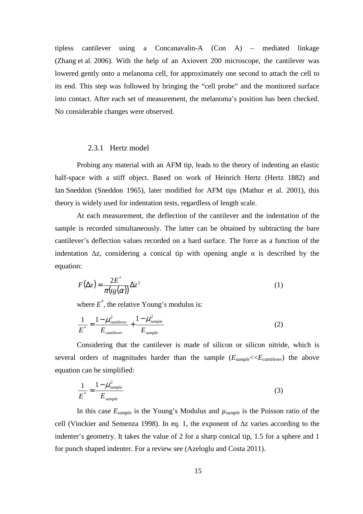tipless cantilever using a Concanavalin-A (Con A) – mediated linkage (Zhang et al. 2006). With the help of an Axiovert 200 microscope, the cantilever was lowered gently onto a melanoma cell, for approximately one second to attach the cell to its end. This step was followed by bringing the "cell probe" and the monitored surface into contact. After each set of measurement, the melanoma's position has been checked. No considerable changes were observed.

#### 2.3.1 Hertz model

Probing any material with an AFM tip, leads to the theory of indenting an elastic half-space with a stiff object. Based on work of Heinrich Hertz (Hertz 1882) and Ian Sneddon (Sneddon 1965), later modified for AFM tips (Mathur et al. 2001), this theory is widely used for indentation tests, regardless of length scale.

At each measurement, the deflection of the cantilever and the indentation of the sample is recorded simultaneously. The latter can be obtained by subtracting the bare cantilever's deflection values recorded on a hard surface. The force as a function of the indentation  $\Delta z$ , considering a conical tip with opening angle  $\alpha$  is described by the equation:

$$
F(\Delta z) = \frac{2E^*}{\pi (tg(\alpha))} \Delta z^2
$$
 (1)

where  $E^*$ , the relative Young's modulus is:

$$
\frac{1}{E^*} = \frac{1 - \mu_{canilever}^2}{E_{canilever}} + \frac{1 - \mu_{sample}^2}{E_{sample}}
$$
(2)

Considering that the cantilever is made of silicon or silicon nitride, which is several orders of magnitudes harder than the sample (*Esample*<<*Ecantilever*) the above equation can be simplified:

$$
\frac{1}{E^*} \approx \frac{1 - \mu_{sample}^2}{E_{sample}}
$$
 (3)

In this case  $E_{sample}$  is the Young's Modulus and  $\mu_{sample}$  is the Poisson ratio of the cell (Vinckier and Semenza 1998). In eq. 1, the exponent of ∆z varies according to the indenter's geometry. It takes the value of 2 for a sharp conical tip, 1.5 for a sphere and 1 for punch shaped indenter. For a review see (Azeloglu and Costa 2011).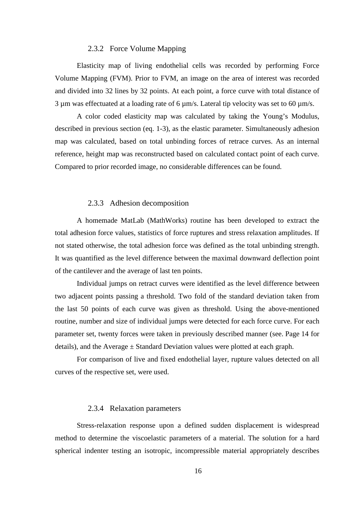#### 2.3.2 Force Volume Mapping

Elasticity map of living endothelial cells was recorded by performing Force Volume Mapping (FVM). Prior to FVM, an image on the area of interest was recorded and divided into 32 lines by 32 points. At each point, a force curve with total distance of  $3 \mu$ m was effectuated at a loading rate of 6  $\mu$ m/s. Lateral tip velocity was set to 60  $\mu$ m/s.

A color coded elasticity map was calculated by taking the Young's Modulus, described in previous section (eq. 1-3), as the elastic parameter. Simultaneously adhesion map was calculated, based on total unbinding forces of retrace curves. As an internal reference, height map was reconstructed based on calculated contact point of each curve. Compared to prior recorded image, no considerable differences can be found.

#### 2.3.3 Adhesion decomposition

A homemade MatLab (MathWorks) routine has been developed to extract the total adhesion force values, statistics of force ruptures and stress relaxation amplitudes. If not stated otherwise, the total adhesion force was defined as the total unbinding strength. It was quantified as the level difference between the maximal downward deflection point of the cantilever and the average of last ten points.

Individual jumps on retract curves were identified as the level difference between two adjacent points passing a threshold. Two fold of the standard deviation taken from the last 50 points of each curve was given as threshold. Using the above-mentioned routine, number and size of individual jumps were detected for each force curve. For each parameter set, twenty forces were taken in previously described manner (see. Page 14 for details), and the Average  $\pm$  Standard Deviation values were plotted at each graph.

For comparison of live and fixed endothelial layer, rupture values detected on all curves of the respective set, were used.

#### 2.3.4 Relaxation parameters

Stress-relaxation response upon a defined sudden displacement is widespread method to determine the viscoelastic parameters of a material. The solution for a hard spherical indenter testing an isotropic, incompressible material appropriately describes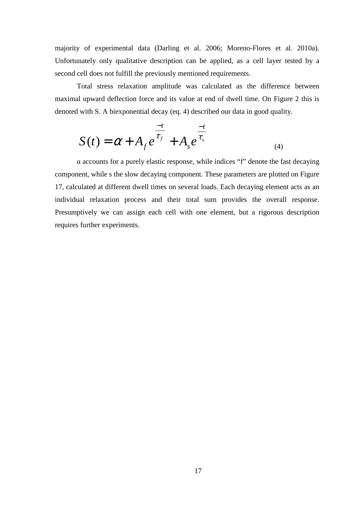majority of experimental data (Darling et al. 2006; Moreno-Flores et al. 2010a). Unfortunately only qualitative description can be applied, as a cell layer tested by a second cell does not fulfill the previously mentioned requirements.

Total stress relaxation amplitude was calculated as the difference between maximal upward deflection force and its value at end of dwell time. On Figure 2 this is denoted with S. A biexponential decay (eq. 4) described our data in good quality.

$$
S(t) = \alpha + A_f e^{\frac{-t}{\tau_f}} + A_s e^{\frac{-t}{\tau_s}}
$$
\n(4)

α accounts for a purely elastic response, while indices "f" denote the fast decaying component, while s the slow decaying component. These parameters are plotted on Figure 17, calculated at different dwell times on several loads. Each decaying element acts as an individual relaxation process and their total sum provides the overall response. Presumptively we can assign each cell with one element, but a rigorous description requires further experiments.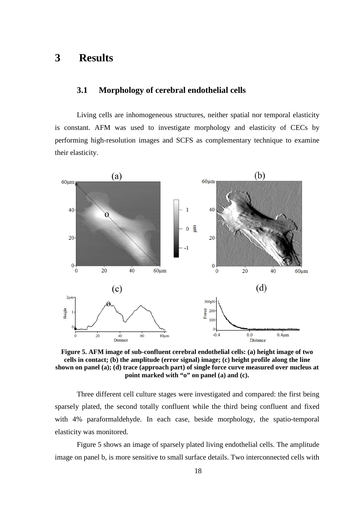# **3 Results**

# **3.1 Morphology of cerebral endothelial cells**

Living cells are inhomogeneous structures, neither spatial nor temporal elasticity is constant. AFM was used to investigate morphology and elasticity of CECs by performing high-resolution images and SCFS as complementary technique to examine their elasticity.



**Figure 5. AFM image of sub-confluent cerebral endothelial cells: (a) height image of two cells in contact; (b) the amplitude (error signal) image; (c) height profile along the line shown on panel (a); (d) trace (approach part) of single force curve measured over nucleus at point marked with "o" on panel (a) and (c).** 

Three different cell culture stages were investigated and compared: the first being sparsely plated, the second totally confluent while the third being confluent and fixed with 4% paraformaldehyde. In each case, beside morphology, the spatio-temporal elasticity was monitored.

Figure 5 shows an image of sparsely plated living endothelial cells. The amplitude image on panel b, is more sensitive to small surface details. Two interconnected cells with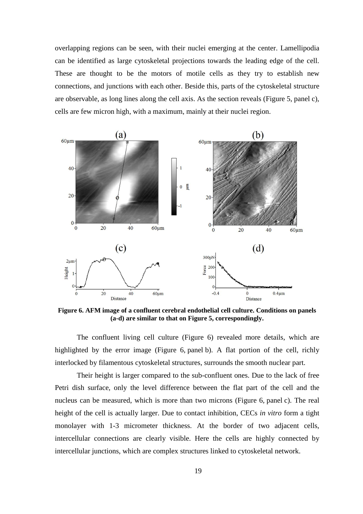overlapping regions can be seen, with their nuclei emerging at the center. Lamellipodia can be identified as large cytoskeletal projections towards the leading edge of the cell. These are thought to be the motors of motile cells as they try to establish new connections, and junctions with each other. Beside this, parts of the cytoskeletal structure are observable, as long lines along the cell axis. As the section reveals (Figure 5, panel c), cells are few micron high, with a maximum, mainly at their nuclei region.



**Figure 6. AFM image of a confluent cerebral endothelial cell culture. Conditions on panels (a-d) are similar to that on Figure 5, correspondingly.** 

The confluent living cell culture (Figure 6) revealed more details, which are highlighted by the error image (Figure 6, panel b). A flat portion of the cell, richly interlocked by filamentous cytoskeletal structures, surrounds the smooth nuclear part.

Their height is larger compared to the sub-confluent ones. Due to the lack of free Petri dish surface, only the level difference between the flat part of the cell and the nucleus can be measured, which is more than two microns (Figure 6, panel c). The real height of the cell is actually larger. Due to contact inhibition, CECs *in vitro* form a tight monolayer with 1-3 micrometer thickness. At the border of two adjacent cells, intercellular connections are clearly visible. Here the cells are highly connected by intercellular junctions, which are complex structures linked to cytoskeletal network.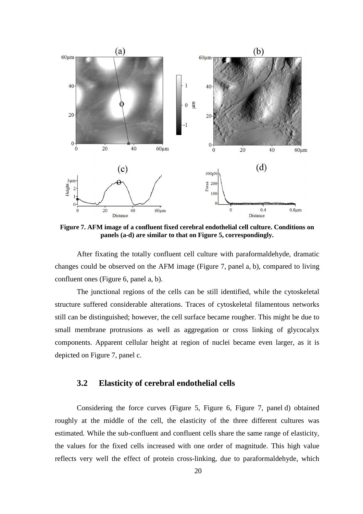

**Figure 7. AFM image of a confluent fixed cerebral endothelial cell culture. Conditions on panels (a-d) are similar to that on Figure 5, correspondingly.** 

After fixating the totally confluent cell culture with paraformaldehyde, dramatic changes could be observed on the AFM image (Figure 7, panel a, b), compared to living confluent ones (Figure 6, panel a, b).

The junctional regions of the cells can be still identified, while the cytoskeletal structure suffered considerable alterations. Traces of cytoskeletal filamentous networks still can be distinguished; however, the cell surface became rougher. This might be due to small membrane protrusions as well as aggregation or cross linking of glycocalyx components. Apparent cellular height at region of nuclei became even larger, as it is depicted on Figure 7, panel c.

## **3.2 Elasticity of cerebral endothelial cells**

Considering the force curves (Figure 5, Figure 6, Figure 7, panel d) obtained roughly at the middle of the cell, the elasticity of the three different cultures was estimated. While the sub-confluent and confluent cells share the same range of elasticity, the values for the fixed cells increased with one order of magnitude. This high value reflects very well the effect of protein cross-linking, due to paraformaldehyde, which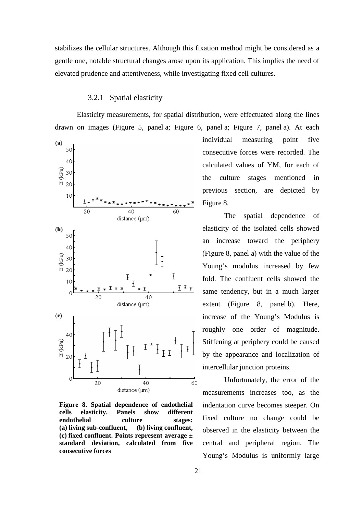stabilizes the cellular structures. Although this fixation method might be considered as a gentle one, notable structural changes arose upon its application. This implies the need of elevated prudence and attentiveness, while investigating fixed cell cultures.

## 3.2.1 Spatial elasticity

Elasticity measurements, for spatial distribution, were effectuated along the lines drawn on images (Figure 5, panel a; Figure 6, panel a; Figure 7, panel a). At each



**Figure 8. Spatial dependence of endothelial cells elasticity. Panels show different endothelial culture stages: (a) living sub-confluent, (b) living confluent, (c) fixed confluent. Points represent average ± standard deviation, calculated from five consecutive forces** 

individual measuring point five consecutive forces were recorded. The calculated values of YM, for each of the culture stages mentioned in previous section, are depicted by Figure 8.

The spatial dependence of elasticity of the isolated cells showed an increase toward the periphery (Figure 8, panel a) with the value of the Young's modulus increased by few fold. The confluent cells showed the same tendency, but in a much larger extent (Figure 8, panel b). Here, increase of the Young's Modulus is roughly one order of magnitude. Stiffening at periphery could be caused by the appearance and localization of intercellular junction proteins.

Unfortunately, the error of the measurements increases too, as the indentation curve becomes steeper. On fixed culture no change could be observed in the elasticity between the central and peripheral region. The Young's Modulus is uniformly large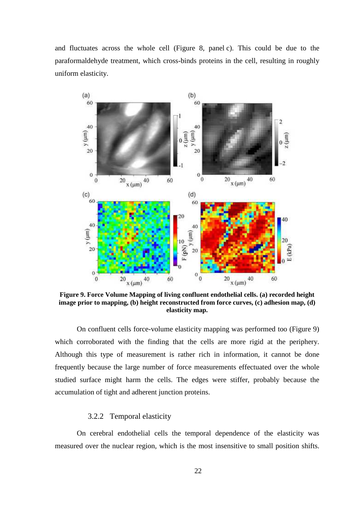and fluctuates across the whole cell (Figure 8, panel c). This could be due to the paraformaldehyde treatment, which cross-binds proteins in the cell, resulting in roughly uniform elasticity.



**Figure 9. Force Volume Mapping of living confluent endothelial cells. (a) recorded height image prior to mapping, (b) height reconstructed from force curves, (c) adhesion map, (d) elasticity map.** 

On confluent cells force-volume elasticity mapping was performed too (Figure 9) which corroborated with the finding that the cells are more rigid at the periphery. Although this type of measurement is rather rich in information, it cannot be done frequently because the large number of force measurements effectuated over the whole studied surface might harm the cells. The edges were stiffer, probably because the accumulation of tight and adherent junction proteins.

#### 3.2.2 Temporal elasticity

On cerebral endothelial cells the temporal dependence of the elasticity was measured over the nuclear region, which is the most insensitive to small position shifts.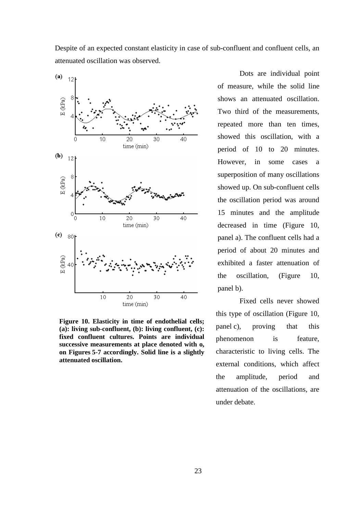Despite of an expected constant elasticity in case of sub-confluent and confluent cells, an attenuated oscillation was observed.



**Figure 10. Elasticity in time of endothelial cells; (a): living sub-confluent, (b): living confluent, (c): fixed confluent cultures. Points are individual successive measurements at place denoted with o, on Figures 5-7 accordingly. Solid line is a slightly attenuated oscillation.** 

Dots are individual point of measure, while the solid line shows an attenuated oscillation. Two third of the measurements, repeated more than ten times, showed this oscillation, with a period of 10 to 20 minutes. However, in some cases a superposition of many oscillations showed up. On sub-confluent cells the oscillation period was around 15 minutes and the amplitude decreased in time (Figure 10, panel a). The confluent cells had a period of about 20 minutes and exhibited a faster attenuation of the oscillation, (Figure 10, panel b).

Fixed cells never showed this type of oscillation (Figure 10, panel c), proving that this phenomenon is feature, characteristic to living cells. The external conditions, which affect the amplitude, period and attenuation of the oscillations, are under debate.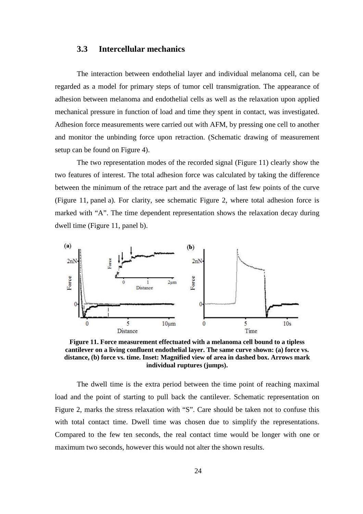## **3.3 Intercellular mechanics**

The interaction between endothelial layer and individual melanoma cell, can be regarded as a model for primary steps of tumor cell transmigration. The appearance of adhesion between melanoma and endothelial cells as well as the relaxation upon applied mechanical pressure in function of load and time they spent in contact, was investigated. Adhesion force measurements were carried out with AFM, by pressing one cell to another and monitor the unbinding force upon retraction. (Schematic drawing of measurement setup can be found on Figure 4).

The two representation modes of the recorded signal (Figure 11) clearly show the two features of interest. The total adhesion force was calculated by taking the difference between the minimum of the retrace part and the average of last few points of the curve (Figure 11, panel a). For clarity, see schematic Figure 2, where total adhesion force is marked with "A". The time dependent representation shows the relaxation decay during dwell time (Figure 11, panel b).



**Figure 11. Force measurement effectuated with a melanoma cell bound to a tipless cantilever on a living confluent endothelial layer. The same curve shown: (a) force vs. distance, (b) force vs. time. Inset: Magnified view of area in dashed box. Arrows mark individual ruptures (jumps).** 

The dwell time is the extra period between the time point of reaching maximal load and the point of starting to pull back the cantilever. Schematic representation on Figure 2, marks the stress relaxation with "S". Care should be taken not to confuse this with total contact time. Dwell time was chosen due to simplify the representations. Compared to the few ten seconds, the real contact time would be longer with one or maximum two seconds, however this would not alter the shown results.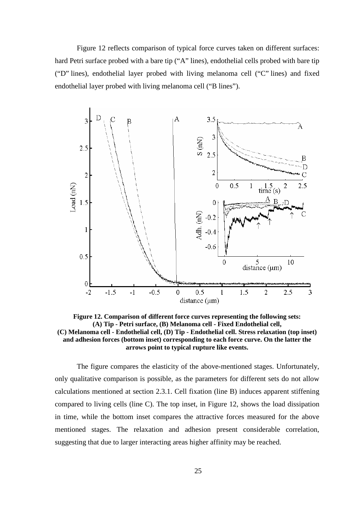Figure 12 reflects comparison of typical force curves taken on different surfaces: hard Petri surface probed with a bare tip ("A" lines), endothelial cells probed with bare tip ("D" lines), endothelial layer probed with living melanoma cell ("C" lines) and fixed endothelial layer probed with living melanoma cell ("B lines").



**Figure 12. Comparison of different force curves representing the following sets: (A) Tip - Petri surface, (B) Melanoma cell - Fixed Endothelial cell, (C) Melanoma cell - Endothelial cell, (D) Tip - Endothelial cell. Stress relaxation (top inset) and adhesion forces (bottom inset) corresponding to each force curve. On the latter the arrows point to typical rupture like events.** 

The figure compares the elasticity of the above-mentioned stages. Unfortunately, only qualitative comparison is possible, as the parameters for different sets do not allow calculations mentioned at section 2.3.1. Cell fixation (line B) induces apparent stiffening compared to living cells (line C). The top inset, in Figure 12, shows the load dissipation in time, while the bottom inset compares the attractive forces measured for the above mentioned stages. The relaxation and adhesion present considerable correlation, suggesting that due to larger interacting areas higher affinity may be reached.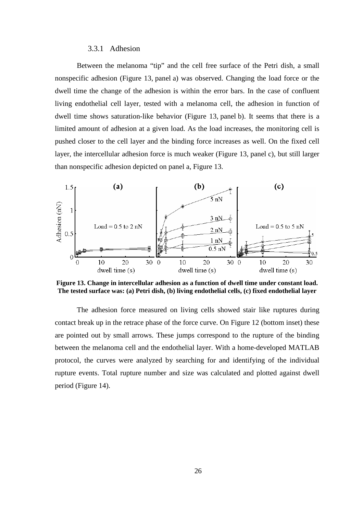#### 3.3.1 Adhesion

Between the melanoma "tip" and the cell free surface of the Petri dish, a small nonspecific adhesion (Figure 13, panel a) was observed. Changing the load force or the dwell time the change of the adhesion is within the error bars. In the case of confluent living endothelial cell layer, tested with a melanoma cell, the adhesion in function of dwell time shows saturation-like behavior (Figure 13, panel b). It seems that there is a limited amount of adhesion at a given load. As the load increases, the monitoring cell is pushed closer to the cell layer and the binding force increases as well. On the fixed cell layer, the intercellular adhesion force is much weaker (Figure 13, panel c), but still larger than nonspecific adhesion depicted on panel a, Figure 13.



**Figure 13. Change in intercellular adhesion as a function of dwell time under constant load. The tested surface was: (a) Petri dish, (b) living endothelial cells, (c) fixed endothelial layer** 

The adhesion force measured on living cells showed stair like ruptures during contact break up in the retrace phase of the force curve. On Figure 12 (bottom inset) these are pointed out by small arrows. These jumps correspond to the rupture of the binding between the melanoma cell and the endothelial layer. With a home-developed MATLAB protocol, the curves were analyzed by searching for and identifying of the individual rupture events. Total rupture number and size was calculated and plotted against dwell period (Figure 14).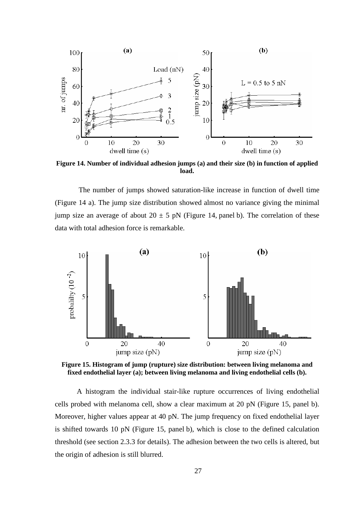

**Figure 14. Number of individual adhesion jumps (a) and their size (b) in function of applied load.** 

 The number of jumps showed saturation-like increase in function of dwell time (Figure 14 a). The jump size distribution showed almost no variance giving the minimal jump size an average of about  $20 \pm 5$  pN (Figure 14, panel b). The correlation of these data with total adhesion force is remarkable.



**Figure 15. Histogram of jump (rupture) size distribution: between living melanoma and fixed endothelial layer (a); between living melanoma and living endothelial cells (b).** 

A histogram the individual stair-like rupture occurrences of living endothelial cells probed with melanoma cell, show a clear maximum at 20 pN (Figure 15, panel b). Moreover, higher values appear at 40 pN. The jump frequency on fixed endothelial layer is shifted towards 10 pN (Figure 15, panel b), which is close to the defined calculation threshold (see section 2.3.3 for details). The adhesion between the two cells is altered, but the origin of adhesion is still blurred.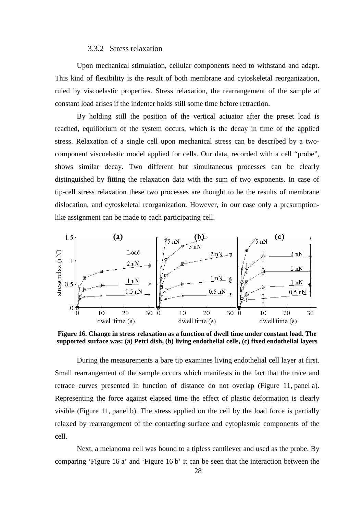#### 3.3.2 Stress relaxation

Upon mechanical stimulation, cellular components need to withstand and adapt. This kind of flexibility is the result of both membrane and cytoskeletal reorganization, ruled by viscoelastic properties. Stress relaxation, the rearrangement of the sample at constant load arises if the indenter holds still some time before retraction.

By holding still the position of the vertical actuator after the preset load is reached, equilibrium of the system occurs, which is the decay in time of the applied stress. Relaxation of a single cell upon mechanical stress can be described by a twocomponent viscoelastic model applied for cells. Our data, recorded with a cell "probe", shows similar decay. Two different but simultaneous processes can be clearly distinguished by fitting the relaxation data with the sum of two exponents. In case of tip-cell stress relaxation these two processes are thought to be the results of membrane dislocation, and cytoskeletal reorganization. However, in our case only a presumptionlike assignment can be made to each participating cell.



**Figure 16. Change in stress relaxation as a function of dwell time under constant load. The supported surface was: (a) Petri dish, (b) living endothelial cells, (c) fixed endothelial layers** 

During the measurements a bare tip examines living endothelial cell layer at first. Small rearrangement of the sample occurs which manifests in the fact that the trace and retrace curves presented in function of distance do not overlap (Figure 11, panel a). Representing the force against elapsed time the effect of plastic deformation is clearly visible (Figure 11, panel b). The stress applied on the cell by the load force is partially relaxed by rearrangement of the contacting surface and cytoplasmic components of the cell.

Next, a melanoma cell was bound to a tipless cantilever and used as the probe. By comparing 'Figure 16 a' and 'Figure 16 b' it can be seen that the interaction between the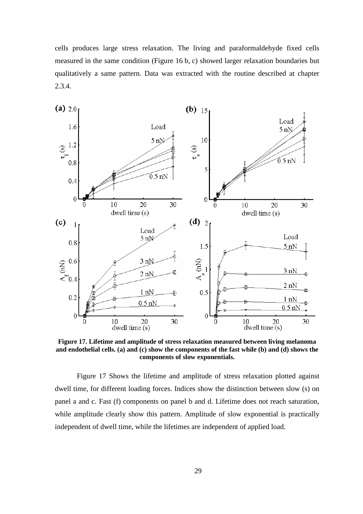cells produces large stress relaxation. The living and paraformaldehyde fixed cells measured in the same condition (Figure 16 b, c) showed larger relaxation boundaries but qualitatively a same pattern. Data was extracted with the routine described at chapter 2.3.4.



**Figure 17. Lifetime and amplitude of stress relaxation measured between living melanoma and endothelial cells. (a) and (c) show the components of the fast while (b) and (d) shows the components of slow exponentials.** 

Figure 17 Shows the lifetime and amplitude of stress relaxation plotted against dwell time, for different loading forces. Indices show the distinction between slow (s) on panel a and c. Fast (f) components on panel b and d. Lifetime does not reach saturation, while amplitude clearly show this pattern. Amplitude of slow exponential is practically independent of dwell time, while the lifetimes are independent of applied load.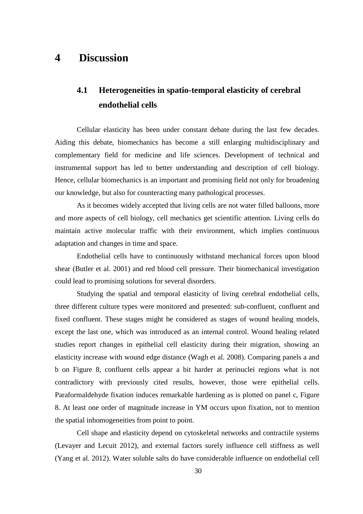# **4 Discussion**

# **4.1 Heterogeneities in spatio-temporal elasticity of cerebral endothelial cells**

Cellular elasticity has been under constant debate during the last few decades. Aiding this debate, biomechanics has become a still enlarging multidisciplinary and complementary field for medicine and life sciences. Development of technical and instrumental support has led to better understanding and description of cell biology. Hence, cellular biomechanics is an important and promising field not only for broadening our knowledge, but also for counteracting many pathological processes.

As it becomes widely accepted that living cells are not water filled balloons, more and more aspects of cell biology, cell mechanics get scientific attention. Living cells do maintain active molecular traffic with their environment, which implies continuous adaptation and changes in time and space.

Endothelial cells have to continuously withstand mechanical forces upon blood shear (Butler et al. 2001) and red blood cell pressure. Their biomechanical investigation could lead to promising solutions for several disorders.

Studying the spatial and temporal elasticity of living cerebral endothelial cells, three different culture types were monitored and presented: sub-confluent, confluent and fixed confluent. These stages might be considered as stages of wound healing models, except the last one, which was introduced as an internal control. Wound healing related studies report changes in epithelial cell elasticity during their migration, showing an elasticity increase with wound edge distance (Wagh et al. 2008). Comparing panels a and b on Figure 8, confluent cells appear a bit harder at perinuclei regions what is not contradictory with previously cited results, however, those were epithelial cells. Paraformaldehyde fixation induces remarkable hardening as is plotted on panel c, Figure 8. At least one order of magnitude increase in YM occurs upon fixation, not to mention the spatial inhomogeneities from point to point.

Cell shape and elasticity depend on cytoskeletal networks and contractile systems (Levayer and Lecuit 2012), and external factors surely influence cell stiffness as well (Yang et al. 2012). Water soluble salts do have considerable influence on endothelial cell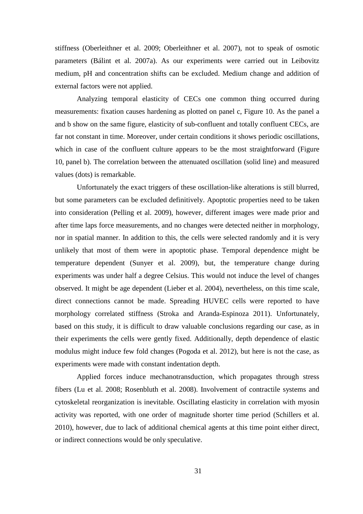stiffness (Oberleithner et al. 2009; Oberleithner et al. 2007), not to speak of osmotic parameters (Bálint et al. 2007a). As our experiments were carried out in Leibovitz medium, pH and concentration shifts can be excluded. Medium change and addition of external factors were not applied.

Analyzing temporal elasticity of CECs one common thing occurred during measurements: fixation causes hardening as plotted on panel c, Figure 10. As the panel a and b show on the same figure, elasticity of sub-confluent and totally confluent CECs, are far not constant in time. Moreover, under certain conditions it shows periodic oscillations, which in case of the confluent culture appears to be the most straightforward (Figure 10, panel b). The correlation between the attenuated oscillation (solid line) and measured values (dots) is remarkable.

Unfortunately the exact triggers of these oscillation-like alterations is still blurred, but some parameters can be excluded definitively. Apoptotic properties need to be taken into consideration (Pelling et al. 2009), however, different images were made prior and after time laps force measurements, and no changes were detected neither in morphology, nor in spatial manner. In addition to this, the cells were selected randomly and it is very unlikely that most of them were in apoptotic phase. Temporal dependence might be temperature dependent (Sunyer et al. 2009), but, the temperature change during experiments was under half a degree Celsius. This would not induce the level of changes observed. It might be age dependent (Lieber et al. 2004), nevertheless, on this time scale, direct connections cannot be made. Spreading HUVEC cells were reported to have morphology correlated stiffness (Stroka and Aranda-Espinoza 2011). Unfortunately, based on this study, it is difficult to draw valuable conclusions regarding our case, as in their experiments the cells were gently fixed. Additionally, depth dependence of elastic modulus might induce few fold changes (Pogoda et al. 2012), but here is not the case, as experiments were made with constant indentation depth.

Applied forces induce mechanotransduction, which propagates through stress fibers (Lu et al. 2008; Rosenbluth et al. 2008). Involvement of contractile systems and cytoskeletal reorganization is inevitable. Oscillating elasticity in correlation with myosin activity was reported, with one order of magnitude shorter time period (Schillers et al. 2010), however, due to lack of additional chemical agents at this time point either direct, or indirect connections would be only speculative.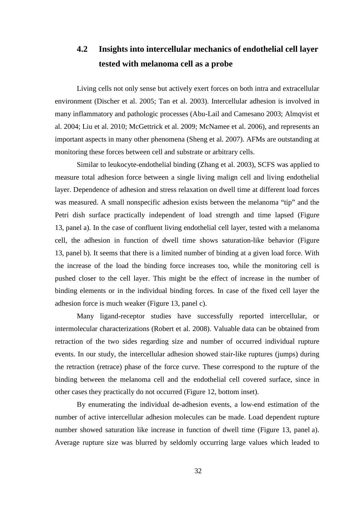# **4.2 Insights into intercellular mechanics of endothelial cell layer tested with melanoma cell as a probe**

Living cells not only sense but actively exert forces on both intra and extracellular environment (Discher et al. 2005; Tan et al. 2003). Intercellular adhesion is involved in many inflammatory and pathologic processes (Abu-Lail and Camesano 2003; Almqvist et al. 2004; Liu et al. 2010; McGettrick et al. 2009; McNamee et al. 2006), and represents an important aspects in many other phenomena (Sheng et al. 2007). AFMs are outstanding at monitoring these forces between cell and substrate or arbitrary cells.

Similar to leukocyte-endothelial binding (Zhang et al. 2003), SCFS was applied to measure total adhesion force between a single living malign cell and living endothelial layer. Dependence of adhesion and stress relaxation on dwell time at different load forces was measured. A small nonspecific adhesion exists between the melanoma "tip" and the Petri dish surface practically independent of load strength and time lapsed (Figure 13, panel a). In the case of confluent living endothelial cell layer, tested with a melanoma cell, the adhesion in function of dwell time shows saturation-like behavior (Figure 13, panel b). It seems that there is a limited number of binding at a given load force. With the increase of the load the binding force increases too, while the monitoring cell is pushed closer to the cell layer. This might be the effect of increase in the number of binding elements or in the individual binding forces. In case of the fixed cell layer the adhesion force is much weaker (Figure 13, panel c).

Many ligand-receptor studies have successfully reported intercellular, or intermolecular characterizations (Robert et al. 2008). Valuable data can be obtained from retraction of the two sides regarding size and number of occurred individual rupture events. In our study, the intercellular adhesion showed stair-like ruptures (jumps) during the retraction (retrace) phase of the force curve. These correspond to the rupture of the binding between the melanoma cell and the endothelial cell covered surface, since in other cases they practically do not occurred (Figure 12, bottom inset).

By enumerating the individual de-adhesion events, a low-end estimation of the number of active intercellular adhesion molecules can be made. Load dependent rupture number showed saturation like increase in function of dwell time (Figure 13, panel a). Average rupture size was blurred by seldomly occurring large values which leaded to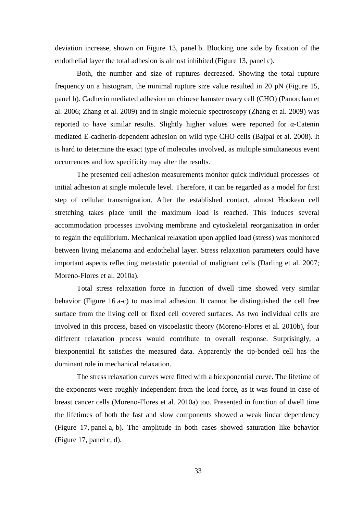deviation increase, shown on Figure 13, panel b. Blocking one side by fixation of the endothelial layer the total adhesion is almost inhibited (Figure 13, panel c).

Both, the number and size of ruptures decreased. Showing the total rupture frequency on a histogram, the minimal rupture size value resulted in 20 pN (Figure 15, panel b). Cadherin mediated adhesion on chinese hamster ovary cell (CHO) (Panorchan et al. 2006; Zhang et al. 2009) and in single molecule spectroscopy (Zhang et al. 2009) was reported to have similar results. Slightly higher values were reported for α-Catenin mediated E-cadherin-dependent adhesion on wild type CHO cells (Bajpai et al. 2008). It is hard to determine the exact type of molecules involved, as multiple simultaneous event occurrences and low specificity may alter the results.

The presented cell adhesion measurements monitor quick individual processes of initial adhesion at single molecule level. Therefore, it can be regarded as a model for first step of cellular transmigration. After the established contact, almost Hookean cell stretching takes place until the maximum load is reached. This induces several accommodation processes involving membrane and cytoskeletal reorganization in order to regain the equilibrium. Mechanical relaxation upon applied load (stress) was monitored between living melanoma and endothelial layer. Stress relaxation parameters could have important aspects reflecting metastatic potential of malignant cells (Darling et al. 2007; Moreno-Flores et al. 2010a).

Total stress relaxation force in function of dwell time showed very similar behavior (Figure 16 a-c) to maximal adhesion. It cannot be distinguished the cell free surface from the living cell or fixed cell covered surfaces. As two individual cells are involved in this process, based on viscoelastic theory (Moreno-Flores et al. 2010b), four different relaxation process would contribute to overall response. Surprisingly, a biexponential fit satisfies the measured data. Apparently the tip-bonded cell has the dominant role in mechanical relaxation.

The stress relaxation curves were fitted with a biexponential curve. The lifetime of the exponents were roughly independent from the load force, as it was found in case of breast cancer cells (Moreno-Flores et al. 2010a) too. Presented in function of dwell time the lifetimes of both the fast and slow components showed a weak linear dependency (Figure 17, panel a, b). The amplitude in both cases showed saturation like behavior (Figure 17, panel c, d).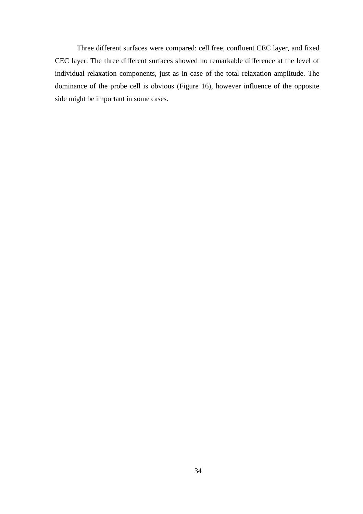Three different surfaces were compared: cell free, confluent CEC layer, and fixed CEC layer. The three different surfaces showed no remarkable difference at the level of individual relaxation components, just as in case of the total relaxation amplitude. The dominance of the probe cell is obvious (Figure 16), however influence of the opposite side might be important in some cases.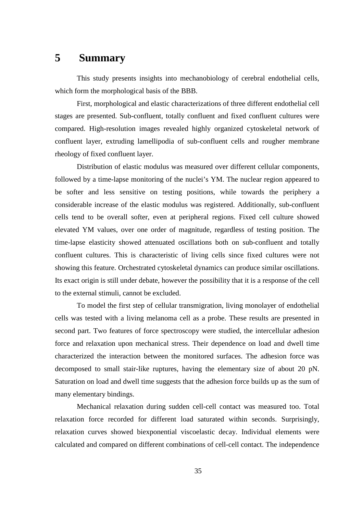# **5 Summary**

This study presents insights into mechanobiology of cerebral endothelial cells, which form the morphological basis of the BBB.

First, morphological and elastic characterizations of three different endothelial cell stages are presented. Sub-confluent, totally confluent and fixed confluent cultures were compared. High-resolution images revealed highly organized cytoskeletal network of confluent layer, extruding lamellipodia of sub-confluent cells and rougher membrane rheology of fixed confluent layer.

Distribution of elastic modulus was measured over different cellular components, followed by a time-lapse monitoring of the nuclei's YM. The nuclear region appeared to be softer and less sensitive on testing positions, while towards the periphery a considerable increase of the elastic modulus was registered. Additionally, sub-confluent cells tend to be overall softer, even at peripheral regions. Fixed cell culture showed elevated YM values, over one order of magnitude, regardless of testing position. The time-lapse elasticity showed attenuated oscillations both on sub-confluent and totally confluent cultures. This is characteristic of living cells since fixed cultures were not showing this feature. Orchestrated cytoskeletal dynamics can produce similar oscillations. Its exact origin is still under debate, however the possibility that it is a response of the cell to the external stimuli, cannot be excluded.

To model the first step of cellular transmigration, living monolayer of endothelial cells was tested with a living melanoma cell as a probe. These results are presented in second part. Two features of force spectroscopy were studied, the intercellular adhesion force and relaxation upon mechanical stress. Their dependence on load and dwell time characterized the interaction between the monitored surfaces. The adhesion force was decomposed to small stair-like ruptures, having the elementary size of about 20 pN. Saturation on load and dwell time suggests that the adhesion force builds up as the sum of many elementary bindings.

Mechanical relaxation during sudden cell-cell contact was measured too. Total relaxation force recorded for different load saturated within seconds. Surprisingly, relaxation curves showed biexponential viscoelastic decay. Individual elements were calculated and compared on different combinations of cell-cell contact. The independence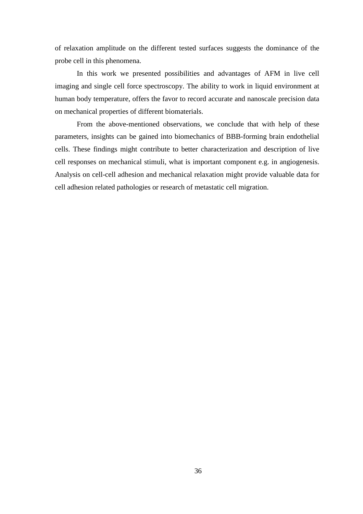of relaxation amplitude on the different tested surfaces suggests the dominance of the probe cell in this phenomena.

In this work we presented possibilities and advantages of AFM in live cell imaging and single cell force spectroscopy. The ability to work in liquid environment at human body temperature, offers the favor to record accurate and nanoscale precision data on mechanical properties of different biomaterials.

From the above-mentioned observations, we conclude that with help of these parameters, insights can be gained into biomechanics of BBB-forming brain endothelial cells. These findings might contribute to better characterization and description of live cell responses on mechanical stimuli, what is important component e.g. in angiogenesis. Analysis on cell-cell adhesion and mechanical relaxation might provide valuable data for cell adhesion related pathologies or research of metastatic cell migration.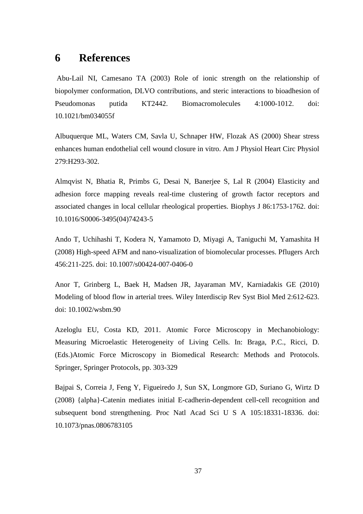# **6 References**

 Abu-Lail NI, Camesano TA (2003) Role of ionic strength on the relationship of biopolymer conformation, DLVO contributions, and steric interactions to bioadhesion of Pseudomonas putida KT2442. Biomacromolecules 4:1000-1012. doi: 10.1021/bm034055f

Albuquerque ML, Waters CM, Savla U, Schnaper HW, Flozak AS (2000) Shear stress enhances human endothelial cell wound closure in vitro. Am J Physiol Heart Circ Physiol 279:H293-302.

Almqvist N, Bhatia R, Primbs G, Desai N, Banerjee S, Lal R (2004) Elasticity and adhesion force mapping reveals real-time clustering of growth factor receptors and associated changes in local cellular rheological properties. Biophys J 86:1753-1762. doi: 10.1016/S0006-3495(04)74243-5

Ando T, Uchihashi T, Kodera N, Yamamoto D, Miyagi A, Taniguchi M, Yamashita H (2008) High-speed AFM and nano-visualization of biomolecular processes. Pflugers Arch 456:211-225. doi: 10.1007/s00424-007-0406-0

Anor T, Grinberg L, Baek H, Madsen JR, Jayaraman MV, Karniadakis GE (2010) Modeling of blood flow in arterial trees. Wiley Interdiscip Rev Syst Biol Med 2:612-623. doi: 10.1002/wsbm.90

Azeloglu EU, Costa KD, 2011. Atomic Force Microscopy in Mechanobiology: Measuring Microelastic Heterogeneity of Living Cells. In: Braga, P.C., Ricci, D. (Eds.)Atomic Force Microscopy in Biomedical Research: Methods and Protocols. Springer, Springer Protocols, pp. 303-329

Bajpai S, Correia J, Feng Y, Figueiredo J, Sun SX, Longmore GD, Suriano G, Wirtz D (2008) {alpha}-Catenin mediates initial E-cadherin-dependent cell-cell recognition and subsequent bond strengthening. Proc Natl Acad Sci U S A 105:18331-18336. doi: 10.1073/pnas.0806783105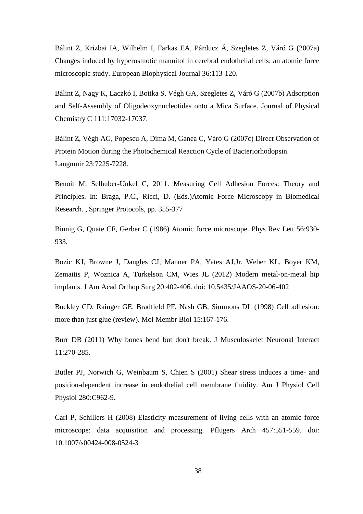Bálint Z, Krizbai IA, Wilhelm I, Farkas EA, Párducz Á, Szegletes Z, Váró G (2007a) Changes induced by hyperosmotic mannitol in cerebral endothelial cells: an atomic force microscopic study. European Biophysical Journal 36:113-120.

Bálint Z, Nagy K, Laczkó I, Bottka S, Végh GA, Szegletes Z, Váró G (2007b) Adsorption and Self-Assembly of Oligodeoxynucleotides onto a Mica Surface. Journal of Physical Chemistry C 111:17032-17037.

Bálint Z, Végh AG, Popescu A, Dima M, Ganea C, Váró G (2007c) Direct Observation of Protein Motion during the Photochemical Reaction Cycle of Bacteriorhodopsin. Langmuir 23:7225-7228.

Benoit M, Selhuber-Unkel C, 2011. Measuring Cell Adhesion Forces: Theory and Principles. In: Braga, P.C., Ricci, D. (Eds.)Atomic Force Microscopy in Biomedical Research. , Springer Protocols, pp. 355-377

Binnig G, Quate CF, Gerber C (1986) Atomic force microscope. Phys Rev Lett 56:930- 933.

Bozic KJ, Browne J, Dangles CJ, Manner PA, Yates AJ,Jr, Weber KL, Boyer KM, Zemaitis P, Woznica A, Turkelson CM, Wies JL (2012) Modern metal-on-metal hip implants. J Am Acad Orthop Surg 20:402-406. doi: 10.5435/JAAOS-20-06-402

Buckley CD, Rainger GE, Bradfield PF, Nash GB, Simmons DL (1998) Cell adhesion: more than just glue (review). Mol Membr Biol 15:167-176.

Burr DB (2011) Why bones bend but don't break. J Musculoskelet Neuronal Interact 11:270-285.

Butler PJ, Norwich G, Weinbaum S, Chien S (2001) Shear stress induces a time- and position-dependent increase in endothelial cell membrane fluidity. Am J Physiol Cell Physiol 280:C962-9.

Carl P, Schillers H (2008) Elasticity measurement of living cells with an atomic force microscope: data acquisition and processing. Pflugers Arch 457:551-559. doi: 10.1007/s00424-008-0524-3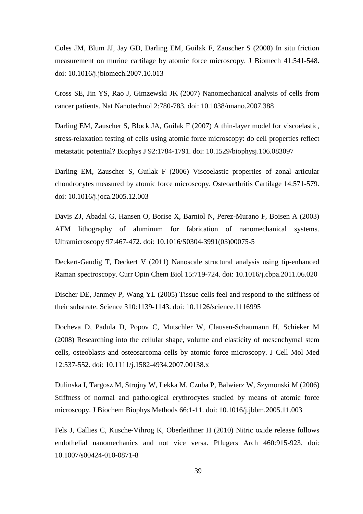Coles JM, Blum JJ, Jay GD, Darling EM, Guilak F, Zauscher S (2008) In situ friction measurement on murine cartilage by atomic force microscopy. J Biomech 41:541-548. doi: 10.1016/j.jbiomech.2007.10.013

Cross SE, Jin YS, Rao J, Gimzewski JK (2007) Nanomechanical analysis of cells from cancer patients. Nat Nanotechnol 2:780-783. doi: 10.1038/nnano.2007.388

Darling EM, Zauscher S, Block JA, Guilak F (2007) A thin-layer model for viscoelastic, stress-relaxation testing of cells using atomic force microscopy: do cell properties reflect metastatic potential? Biophys J 92:1784-1791. doi: 10.1529/biophysj.106.083097

Darling EM, Zauscher S, Guilak F (2006) Viscoelastic properties of zonal articular chondrocytes measured by atomic force microscopy. Osteoarthritis Cartilage 14:571-579. doi: 10.1016/j.joca.2005.12.003

Davis ZJ, Abadal G, Hansen O, Borise X, Barniol N, Perez-Murano F, Boisen A (2003) AFM lithography of aluminum for fabrication of nanomechanical systems. Ultramicroscopy 97:467-472. doi: 10.1016/S0304-3991(03)00075-5

Deckert-Gaudig T, Deckert V (2011) Nanoscale structural analysis using tip-enhanced Raman spectroscopy. Curr Opin Chem Biol 15:719-724. doi: 10.1016/j.cbpa.2011.06.020

Discher DE, Janmey P, Wang YL (2005) Tissue cells feel and respond to the stiffness of their substrate. Science 310:1139-1143. doi: 10.1126/science.1116995

Docheva D, Padula D, Popov C, Mutschler W, Clausen-Schaumann H, Schieker M (2008) Researching into the cellular shape, volume and elasticity of mesenchymal stem cells, osteoblasts and osteosarcoma cells by atomic force microscopy. J Cell Mol Med 12:537-552. doi: 10.1111/j.1582-4934.2007.00138.x

Dulinska I, Targosz M, Strojny W, Lekka M, Czuba P, Balwierz W, Szymonski M (2006) Stiffness of normal and pathological erythrocytes studied by means of atomic force microscopy. J Biochem Biophys Methods 66:1-11. doi: 10.1016/j.jbbm.2005.11.003

Fels J, Callies C, Kusche-Vihrog K, Oberleithner H (2010) Nitric oxide release follows endothelial nanomechanics and not vice versa. Pflugers Arch 460:915-923. doi: 10.1007/s00424-010-0871-8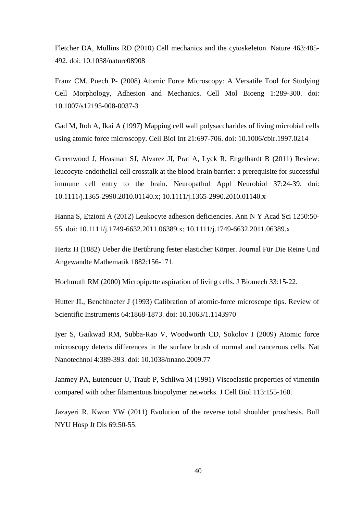Fletcher DA, Mullins RD (2010) Cell mechanics and the cytoskeleton. Nature 463:485- 492. doi: 10.1038/nature08908

Franz CM, Puech P- (2008) Atomic Force Microscopy: A Versatile Tool for Studying Cell Morphology, Adhesion and Mechanics. Cell Mol Bioeng 1:289-300. doi: 10.1007/s12195-008-0037-3

Gad M, Itoh A, Ikai A (1997) Mapping cell wall polysaccharides of living microbial cells using atomic force microscopy. Cell Biol Int 21:697-706. doi: 10.1006/cbir.1997.0214

Greenwood J, Heasman SJ, Alvarez JI, Prat A, Lyck R, Engelhardt B (2011) Review: leucocyte-endothelial cell crosstalk at the blood-brain barrier: a prerequisite for successful immune cell entry to the brain. Neuropathol Appl Neurobiol 37:24-39. doi: 10.1111/j.1365-2990.2010.01140.x; 10.1111/j.1365-2990.2010.01140.x

Hanna S, Etzioni A (2012) Leukocyte adhesion deficiencies. Ann N Y Acad Sci 1250:50- 55. doi: 10.1111/j.1749-6632.2011.06389.x; 10.1111/j.1749-6632.2011.06389.x

Hertz H (1882) Ueber die Berührung fester elasticher Körper. Journal Für Die Reine Und Angewandte Mathematik 1882:156-171.

Hochmuth RM (2000) Micropipette aspiration of living cells. J Biomech 33:15-22.

Hutter JL, Benchhoefer J (1993) Calibration of atomic-force microscope tips. Review of Scientific Instruments 64:1868-1873. doi: 10.1063/1.1143970

Iyer S, Gaikwad RM, Subba-Rao V, Woodworth CD, Sokolov I (2009) Atomic force microscopy detects differences in the surface brush of normal and cancerous cells. Nat Nanotechnol 4:389-393. doi: 10.1038/nnano.2009.77

Janmey PA, Euteneuer U, Traub P, Schliwa M (1991) Viscoelastic properties of vimentin compared with other filamentous biopolymer networks. J Cell Biol 113:155-160.

Jazayeri R, Kwon YW (2011) Evolution of the reverse total shoulder prosthesis. Bull NYU Hosp Jt Dis 69:50-55.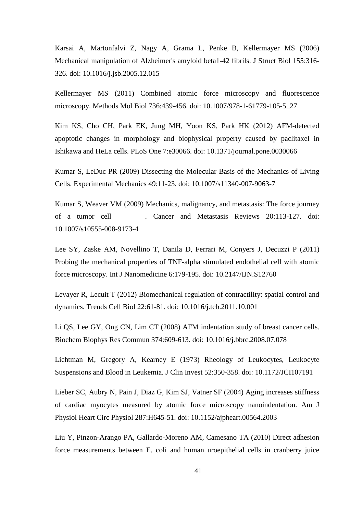Karsai A, Martonfalvi Z, Nagy A, Grama L, Penke B, Kellermayer MS (2006) Mechanical manipulation of Alzheimer's amyloid beta1-42 fibrils. J Struct Biol 155:316- 326. doi: 10.1016/j.jsb.2005.12.015

Kellermayer MS (2011) Combined atomic force microscopy and fluorescence microscopy. Methods Mol Biol 736:439-456. doi: 10.1007/978-1-61779-105-5\_27

Kim KS, Cho CH, Park EK, Jung MH, Yoon KS, Park HK (2012) AFM-detected apoptotic changes in morphology and biophysical property caused by paclitaxel in Ishikawa and HeLa cells. PLoS One 7:e30066. doi: 10.1371/journal.pone.0030066

Kumar S, LeDuc PR (2009) Dissecting the Molecular Basis of the Mechanics of Living Cells. Experimental Mechanics 49:11-23. doi: 10.1007/s11340-007-9063-7

Kumar S, Weaver VM (2009) Mechanics, malignancy, and metastasis: The force journey of a tumor cell . Cancer and Metastasis Reviews 20:113-127. doi: 10.1007/s10555-008-9173-4

Lee SY, Zaske AM, Novellino T, Danila D, Ferrari M, Conyers J, Decuzzi P (2011) Probing the mechanical properties of TNF-alpha stimulated endothelial cell with atomic force microscopy. Int J Nanomedicine 6:179-195. doi: 10.2147/IJN.S12760

Levayer R, Lecuit T (2012) Biomechanical regulation of contractility: spatial control and dynamics. Trends Cell Biol 22:61-81. doi: 10.1016/j.tcb.2011.10.001

Li QS, Lee GY, Ong CN, Lim CT (2008) AFM indentation study of breast cancer cells. Biochem Biophys Res Commun 374:609-613. doi: 10.1016/j.bbrc.2008.07.078

Lichtman M, Gregory A, Kearney E (1973) Rheology of Leukocytes, Leukocyte Suspensions and Blood in Leukemia. J Clin Invest 52:350-358. doi: 10.1172/JCI107191

Lieber SC, Aubry N, Pain J, Diaz G, Kim SJ, Vatner SF (2004) Aging increases stiffness of cardiac myocytes measured by atomic force microscopy nanoindentation. Am J Physiol Heart Circ Physiol 287:H645-51. doi: 10.1152/ajpheart.00564.2003

Liu Y, Pinzon-Arango PA, Gallardo-Moreno AM, Camesano TA (2010) Direct adhesion force measurements between E. coli and human uroepithelial cells in cranberry juice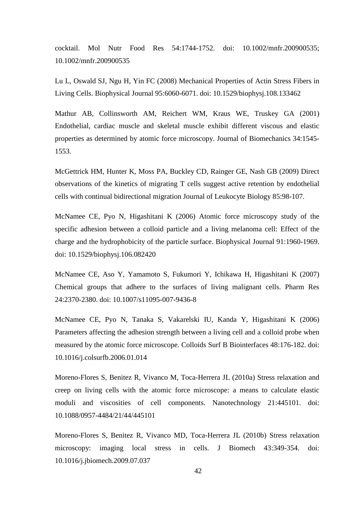cocktail. Mol Nutr Food Res 54:1744-1752. doi: 10.1002/mnfr.200900535; 10.1002/mnfr.200900535

Lu L, Oswald SJ, Ngu H, Yin FC (2008) Mechanical Properties of Actin Stress Fibers in Living Cells. Biophysical Journal 95:6060-6071. doi: 10.1529/biophysj.108.133462

Mathur AB, Collinsworth AM, Reichert WM, Kraus WE, Truskey GA (2001) Endothelial, cardiac muscle and skeletal muscle exhibit different viscous and elastic properties as determined by atomic force microscopy. Journal of Biomechanics 34:1545- 1553.

McGettrick HM, Hunter K, Moss PA, Buckley CD, Rainger GE, Nash GB (2009) Direct observations of the kinetics of migrating T cells suggest active retention by endothelial cells with continual bidirectional migration Journal of Leukocyte Biology 85:98-107.

McNamee CE, Pyo N, Higashitani K (2006) Atomic force microscopy study of the specific adhesion between a colloid particle and a living melanoma cell: Effect of the charge and the hydrophobicity of the particle surface. Biophysical Journal 91:1960-1969. doi: 10.1529/biophysj.106.082420

McNamee CE, Aso Y, Yamamoto S, Fukumori Y, Ichikawa H, Higashitani K (2007) Chemical groups that adhere to the surfaces of living malignant cells. Pharm Res 24:2370-2380. doi: 10.1007/s11095-007-9436-8

McNamee CE, Pyo N, Tanaka S, Vakarelski IU, Kanda Y, Higashitani K (2006) Parameters affecting the adhesion strength between a living cell and a colloid probe when measured by the atomic force microscope. Colloids Surf B Biointerfaces 48:176-182. doi: 10.1016/j.colsurfb.2006.01.014

Moreno-Flores S, Benitez R, Vivanco M, Toca-Herrera JL (2010a) Stress relaxation and creep on living cells with the atomic force microscope: a means to calculate elastic moduli and viscosities of cell components. Nanotechnology 21:445101. doi: 10.1088/0957-4484/21/44/445101

Moreno-Flores S, Benitez R, Vivanco MD, Toca-Herrera JL (2010b) Stress relaxation microscopy: imaging local stress in cells. J Biomech 43:349-354. doi: 10.1016/j.jbiomech.2009.07.037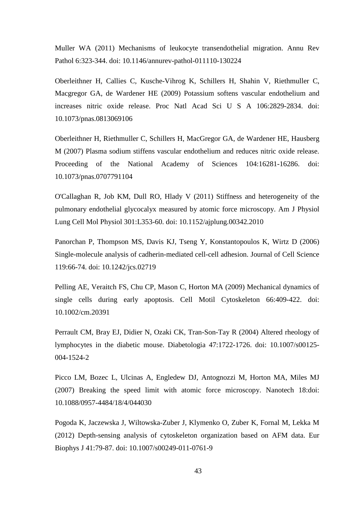Muller WA (2011) Mechanisms of leukocyte transendothelial migration. Annu Rev Pathol 6:323-344. doi: 10.1146/annurev-pathol-011110-130224

Oberleithner H, Callies C, Kusche-Vihrog K, Schillers H, Shahin V, Riethmuller C, Macgregor GA, de Wardener HE (2009) Potassium softens vascular endothelium and increases nitric oxide release. Proc Natl Acad Sci U S A 106:2829-2834. doi: 10.1073/pnas.0813069106

Oberleithner H, Riethmuller C, Schillers H, MacGregor GA, de Wardener HE, Hausberg M (2007) Plasma sodium stiffens vascular endothelium and reduces nitric oxide release. Proceeding of the National Academy of Sciences 104:16281-16286. doi: 10.1073/pnas.0707791104

O'Callaghan R, Job KM, Dull RO, Hlady V (2011) Stiffness and heterogeneity of the pulmonary endothelial glycocalyx measured by atomic force microscopy. Am J Physiol Lung Cell Mol Physiol 301:L353-60. doi: 10.1152/ajplung.00342.2010

Panorchan P, Thompson MS, Davis KJ, Tseng Y, Konstantopoulos K, Wirtz D (2006) Single-molecule analysis of cadherin-mediated cell-cell adhesion. Journal of Cell Science 119:66-74. doi: 10.1242/jcs.02719

Pelling AE, Veraitch FS, Chu CP, Mason C, Horton MA (2009) Mechanical dynamics of single cells during early apoptosis. Cell Motil Cytoskeleton 66:409-422. doi: 10.1002/cm.20391

Perrault CM, Bray EJ, Didier N, Ozaki CK, Tran-Son-Tay R (2004) Altered rheology of lymphocytes in the diabetic mouse. Diabetologia 47:1722-1726. doi: 10.1007/s00125- 004-1524-2

Picco LM, Bozec L, Ulcinas A, Engledew DJ, Antognozzi M, Horton MA, Miles MJ (2007) Breaking the speed limit with atomic force microscopy. Nanotech 18:doi: 10.1088/0957-4484/18/4/044030

Pogoda K, Jaczewska J, Wiltowska-Zuber J, Klymenko O, Zuber K, Fornal M, Lekka M (2012) Depth-sensing analysis of cytoskeleton organization based on AFM data. Eur Biophys J 41:79-87. doi: 10.1007/s00249-011-0761-9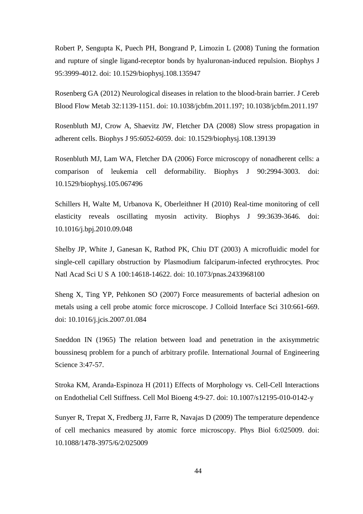Robert P, Sengupta K, Puech PH, Bongrand P, Limozin L (2008) Tuning the formation and rupture of single ligand-receptor bonds by hyaluronan-induced repulsion. Biophys J 95:3999-4012. doi: 10.1529/biophysj.108.135947

Rosenberg GA (2012) Neurological diseases in relation to the blood-brain barrier. J Cereb Blood Flow Metab 32:1139-1151. doi: 10.1038/jcbfm.2011.197; 10.1038/jcbfm.2011.197

Rosenbluth MJ, Crow A, Shaevitz JW, Fletcher DA (2008) Slow stress propagation in adherent cells. Biophys J 95:6052-6059. doi: 10.1529/biophysj.108.139139

Rosenbluth MJ, Lam WA, Fletcher DA (2006) Force microscopy of nonadherent cells: a comparison of leukemia cell deformability. Biophys J 90:2994-3003. doi: 10.1529/biophysj.105.067496

Schillers H, Walte M, Urbanova K, Oberleithner H (2010) Real-time monitoring of cell elasticity reveals oscillating myosin activity. Biophys J 99:3639-3646. doi: 10.1016/j.bpj.2010.09.048

Shelby JP, White J, Ganesan K, Rathod PK, Chiu DT (2003) A microfluidic model for single-cell capillary obstruction by Plasmodium falciparum-infected erythrocytes. Proc Natl Acad Sci U S A 100:14618-14622. doi: 10.1073/pnas.2433968100

Sheng X, Ting YP, Pehkonen SO (2007) Force measurements of bacterial adhesion on metals using a cell probe atomic force microscope. J Colloid Interface Sci 310:661-669. doi: 10.1016/j.jcis.2007.01.084

Sneddon IN (1965) The relation between load and penetration in the axisymmetric boussinesq problem for a punch of arbitrary profile. International Journal of Engineering Science 3:47-57.

Stroka KM, Aranda-Espinoza H (2011) Effects of Morphology vs. Cell-Cell Interactions on Endothelial Cell Stiffness. Cell Mol Bioeng 4:9-27. doi: 10.1007/s12195-010-0142-y

Sunyer R, Trepat X, Fredberg JJ, Farre R, Navajas D (2009) The temperature dependence of cell mechanics measured by atomic force microscopy. Phys Biol 6:025009. doi: 10.1088/1478-3975/6/2/025009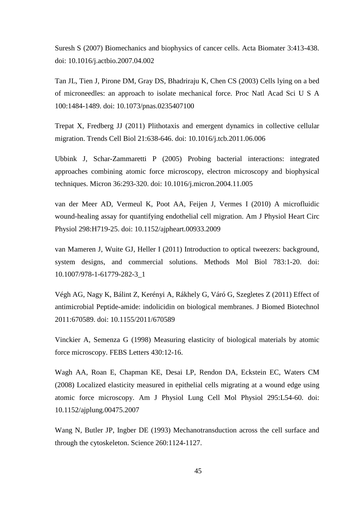Suresh S (2007) Biomechanics and biophysics of cancer cells. Acta Biomater 3:413-438. doi: 10.1016/j.actbio.2007.04.002

Tan JL, Tien J, Pirone DM, Gray DS, Bhadriraju K, Chen CS (2003) Cells lying on a bed of microneedles: an approach to isolate mechanical force. Proc Natl Acad Sci U S A 100:1484-1489. doi: 10.1073/pnas.0235407100

Trepat X, Fredberg JJ (2011) Plithotaxis and emergent dynamics in collective cellular migration. Trends Cell Biol 21:638-646. doi: 10.1016/j.tcb.2011.06.006

Ubbink J, Schar-Zammaretti P (2005) Probing bacterial interactions: integrated approaches combining atomic force microscopy, electron microscopy and biophysical techniques. Micron 36:293-320. doi: 10.1016/j.micron.2004.11.005

van der Meer AD, Vermeul K, Poot AA, Feijen J, Vermes I (2010) A microfluidic wound-healing assay for quantifying endothelial cell migration. Am J Physiol Heart Circ Physiol 298:H719-25. doi: 10.1152/ajpheart.00933.2009

van Mameren J, Wuite GJ, Heller I (2011) Introduction to optical tweezers: background, system designs, and commercial solutions. Methods Mol Biol 783:1-20. doi: 10.1007/978-1-61779-282-3\_1

Végh AG, Nagy K, Bálint Z, Kerényi A, Rákhely G, Váró G, Szegletes Z (2011) Effect of antimicrobial Peptide-amide: indolicidin on biological membranes. J Biomed Biotechnol 2011:670589. doi: 10.1155/2011/670589

Vinckier A, Semenza G (1998) Measuring elasticity of biological materials by atomic force microscopy. FEBS Letters 430:12-16.

Wagh AA, Roan E, Chapman KE, Desai LP, Rendon DA, Eckstein EC, Waters CM (2008) Localized elasticity measured in epithelial cells migrating at a wound edge using atomic force microscopy. Am J Physiol Lung Cell Mol Physiol 295:L54-60. doi: 10.1152/ajplung.00475.2007

Wang N, Butler JP, Ingber DE (1993) Mechanotransduction across the cell surface and through the cytoskeleton. Science 260:1124-1127.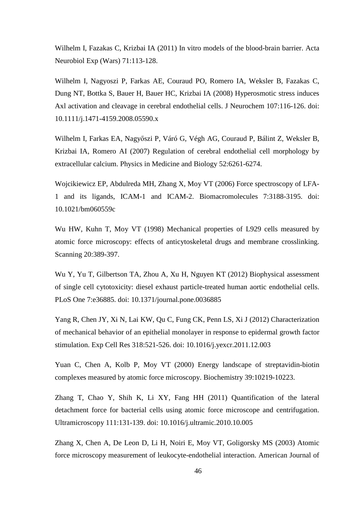Wilhelm I, Fazakas C, Krizbai IA (2011) In vitro models of the blood-brain barrier. Acta Neurobiol Exp (Wars) 71:113-128.

Wilhelm I, Nagyoszi P, Farkas AE, Couraud PO, Romero IA, Weksler B, Fazakas C, Dung NT, Bottka S, Bauer H, Bauer HC, Krizbai IA (2008) Hyperosmotic stress induces Axl activation and cleavage in cerebral endothelial cells. J Neurochem 107:116-126. doi: 10.1111/j.1471-4159.2008.05590.x

Wilhelm I, Farkas EA, Nagyőszi P, Váró G, Végh AG, Couraud P, Bálint Z, Weksler B, Krizbai IA, Romero AI (2007) Regulation of cerebral endothelial cell morphology by extracellular calcium. Physics in Medicine and Biology 52:6261-6274.

Wojcikiewicz EP, Abdulreda MH, Zhang X, Moy VT (2006) Force spectroscopy of LFA-1 and its ligands, ICAM-1 and ICAM-2. Biomacromolecules 7:3188-3195. doi: 10.1021/bm060559c

Wu HW, Kuhn T, Moy VT (1998) Mechanical properties of L929 cells measured by atomic force microscopy: effects of anticytoskeletal drugs and membrane crosslinking. Scanning 20:389-397.

Wu Y, Yu T, Gilbertson TA, Zhou A, Xu H, Nguyen KT (2012) Biophysical assessment of single cell cytotoxicity: diesel exhaust particle-treated human aortic endothelial cells. PLoS One 7:e36885. doi: 10.1371/journal.pone.0036885

Yang R, Chen JY, Xi N, Lai KW, Qu C, Fung CK, Penn LS, Xi J (2012) Characterization of mechanical behavior of an epithelial monolayer in response to epidermal growth factor stimulation. Exp Cell Res 318:521-526. doi: 10.1016/j.yexcr.2011.12.003

Yuan C, Chen A, Kolb P, Moy VT (2000) Energy landscape of streptavidin-biotin complexes measured by atomic force microscopy. Biochemistry 39:10219-10223.

Zhang T, Chao Y, Shih K, Li XY, Fang HH (2011) Quantification of the lateral detachment force for bacterial cells using atomic force microscope and centrifugation. Ultramicroscopy 111:131-139. doi: 10.1016/j.ultramic.2010.10.005

Zhang X, Chen A, De Leon D, Li H, Noiri E, Moy VT, Goligorsky MS (2003) Atomic force microscopy measurement of leukocyte-endothelial interaction. American Journal of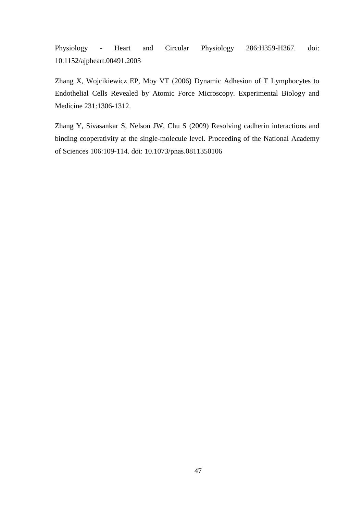Physiology - Heart and Circular Physiology 286:H359-H367. doi: 10.1152/ajpheart.00491.2003

Zhang X, Wojcikiewicz EP, Moy VT (2006) Dynamic Adhesion of T Lymphocytes to Endothelial Cells Revealed by Atomic Force Microscopy. Experimental Biology and Medicine 231:1306-1312.

Zhang Y, Sivasankar S, Nelson JW, Chu S (2009) Resolving cadherin interactions and binding cooperativity at the single-molecule level. Proceeding of the National Academy of Sciences 106:109-114. doi: 10.1073/pnas.0811350106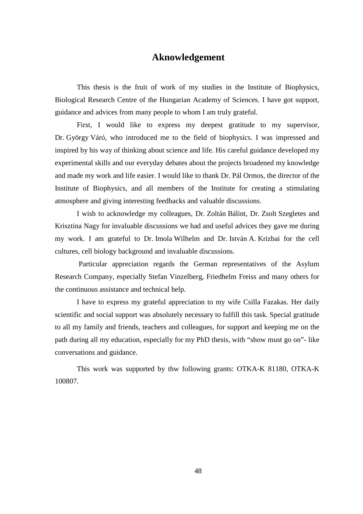# **Aknowledgement**

This thesis is the fruit of work of my studies in the Institute of Biophysics, Biological Research Centre of the Hungarian Academy of Sciences. I have got support, guidance and advices from many people to whom I am truly grateful.

First, I would like to express my deepest gratitude to my supervisor, Dr. György Váró, who introduced me to the field of biophysics. I was impressed and inspired by his way of thinking about science and life. His careful guidance developed my experimental skills and our everyday debates about the projects broadened my knowledge and made my work and life easier. I would like to thank Dr. Pál Ormos, the director of the Institute of Biophysics, and all members of the Institute for creating a stimulating atmosphere and giving interesting feedbacks and valuable discussions.

I wish to acknowledge my colleagues, Dr. Zoltán Bálint, Dr. Zsolt Szegletes and Krisztina Nagy for invaluable discussions we had and useful advices they gave me during my work. I am grateful to Dr. Imola Wilhelm and Dr. István A. Krizbai for the cell cultures, cell biology background and invaluable discussions.

 Particular appreciation regards the German representatives of the Asylum Research Company, especially Stefan Vinzelberg, Friedhelm Freiss and many others for the continuous assistance and technical help.

I have to express my grateful appreciation to my wife Csilla Fazakas. Her daily scientific and social support was absolutely necessary to fulfill this task. Special gratitude to all my family and friends, teachers and colleagues, for support and keeping me on the path during all my education, especially for my PhD thesis, with "show must go on"- like conversations and guidance.

This work was supported by thw following grants: OTKA-K 81180, OTKA-K 100807.